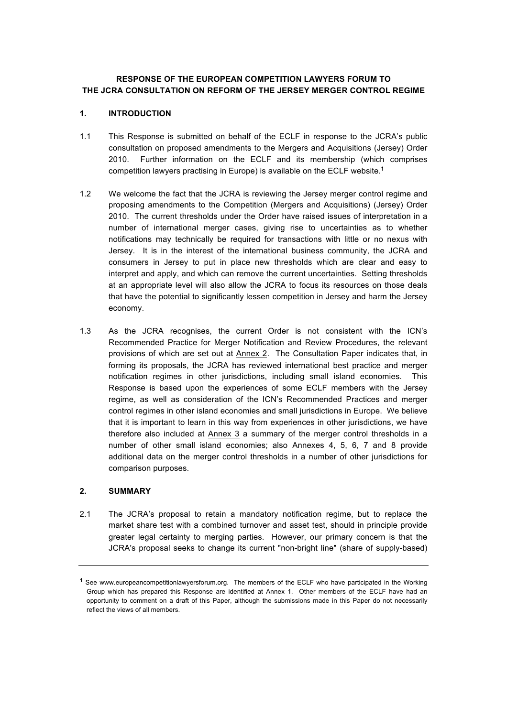### **RESPONSE OF THE EUROPEAN COMPETITION LAWYERS FORUM TO THE JCRA CONSULTATION ON REFORM OF THE JERSEY MERGER CONTROL REGIME**

### **1. INTRODUCTION**

- 1.1 This Response is submitted on behalf of the ECLF in response to the JCRA's public consultation on proposed amendments to the Mergers and Acquisitions (Jersey) Order 2010. Further information on the ECLF and its membership (which comprises competition lawyers practising in Europe) is available on the ECLF website. **1**
- 1.2 We welcome the fact that the JCRA is reviewing the Jersey merger control regime and proposing amendments to the Competition (Mergers and Acquisitions) (Jersey) Order 2010. The current thresholds under the Order have raised issues of interpretation in a number of international merger cases, giving rise to uncertainties as to whether notifications may technically be required for transactions with little or no nexus with Jersey. It is in the interest of the international business community, the JCRA and consumers in Jersey to put in place new thresholds which are clear and easy to interpret and apply, and which can remove the current uncertainties. Setting thresholds at an appropriate level will also allow the JCRA to focus its resources on those deals that have the potential to significantly lessen competition in Jersey and harm the Jersey economy.
- 1.3 As the JCRA recognises, the current Order is not consistent with the ICN's Recommended Practice for Merger Notification and Review Procedures, the relevant provisions of which are set out at Annex 2. The Consultation Paper indicates that, in forming its proposals, the JCRA has reviewed international best practice and merger notification regimes in other jurisdictions, including small island economies. This Response is based upon the experiences of some ECLF members with the Jersey regime, as well as consideration of the ICN's Recommended Practices and merger control regimes in other island economies and small jurisdictions in Europe. We believe that it is important to learn in this way from experiences in other jurisdictions, we have therefore also included at Annex 3 a summary of the merger control thresholds in a number of other small island economies; also Annexes 4, 5, 6, 7 and 8 provide additional data on the merger control thresholds in a number of other jurisdictions for comparison purposes.

### **2. SUMMARY**

2.1 The JCRA's proposal to retain a mandatory notification regime, but to replace the market share test with a combined turnover and asset test, should in principle provide greater legal certainty to merging parties. However, our primary concern is that the JCRA's proposal seeks to change its current "non-bright line" (share of supply-based)

**<sup>1</sup>** See www.europeancompetitionlawyersforum.org. The members of the ECLF who have participated in the Working Group which has prepared this Response are identified at Annex 1. Other members of the ECLF have had an opportunity to comment on a draft of this Paper, although the submissions made in this Paper do not necessarily reflect the views of all members.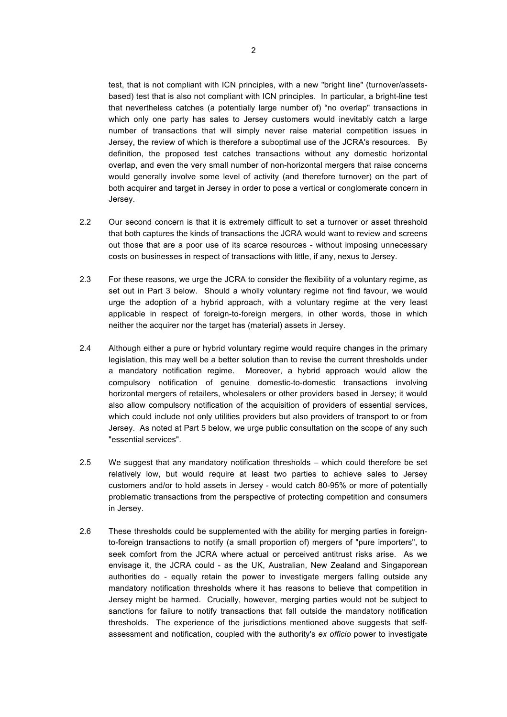test, that is not compliant with ICN principles, with a new "bright line" (turnover/assetsbased) test that is also not compliant with ICN principles. In particular, a bright-line test that nevertheless catches (a potentially large number of) "no overlap" transactions in which only one party has sales to Jersey customers would inevitably catch a large number of transactions that will simply never raise material competition issues in Jersey, the review of which is therefore a suboptimal use of the JCRA's resources. By definition, the proposed test catches transactions without any domestic horizontal overlap, and even the very small number of non-horizontal mergers that raise concerns would generally involve some level of activity (and therefore turnover) on the part of both acquirer and target in Jersey in order to pose a vertical or conglomerate concern in Jersey.

- 2.2 Our second concern is that it is extremely difficult to set a turnover or asset threshold that both captures the kinds of transactions the JCRA would want to review and screens out those that are a poor use of its scarce resources - without imposing unnecessary costs on businesses in respect of transactions with little, if any, nexus to Jersey.
- 2.3 For these reasons, we urge the JCRA to consider the flexibility of a voluntary regime, as set out in Part 3 below. Should a wholly voluntary regime not find favour, we would urge the adoption of a hybrid approach, with a voluntary regime at the very least applicable in respect of foreign-to-foreign mergers, in other words, those in which neither the acquirer nor the target has (material) assets in Jersey.
- 2.4 Although either a pure or hybrid voluntary regime would require changes in the primary legislation, this may well be a better solution than to revise the current thresholds under a mandatory notification regime. Moreover, a hybrid approach would allow the compulsory notification of genuine domestic-to-domestic transactions involving horizontal mergers of retailers, wholesalers or other providers based in Jersey; it would also allow compulsory notification of the acquisition of providers of essential services, which could include not only utilities providers but also providers of transport to or from Jersey. As noted at Part 5 below, we urge public consultation on the scope of any such "essential services".
- 2.5 We suggest that any mandatory notification thresholds which could therefore be set relatively low, but would require at least two parties to achieve sales to Jersey customers and/or to hold assets in Jersey - would catch 80-95% or more of potentially problematic transactions from the perspective of protecting competition and consumers in Jersey.
- 2.6 These thresholds could be supplemented with the ability for merging parties in foreignto-foreign transactions to notify (a small proportion of) mergers of "pure importers", to seek comfort from the JCRA where actual or perceived antitrust risks arise. As we envisage it, the JCRA could - as the UK, Australian, New Zealand and Singaporean authorities do - equally retain the power to investigate mergers falling outside any mandatory notification thresholds where it has reasons to believe that competition in Jersey might be harmed. Crucially, however, merging parties would not be subject to sanctions for failure to notify transactions that fall outside the mandatory notification thresholds. The experience of the jurisdictions mentioned above suggests that selfassessment and notification, coupled with the authority's *ex officio* power to investigate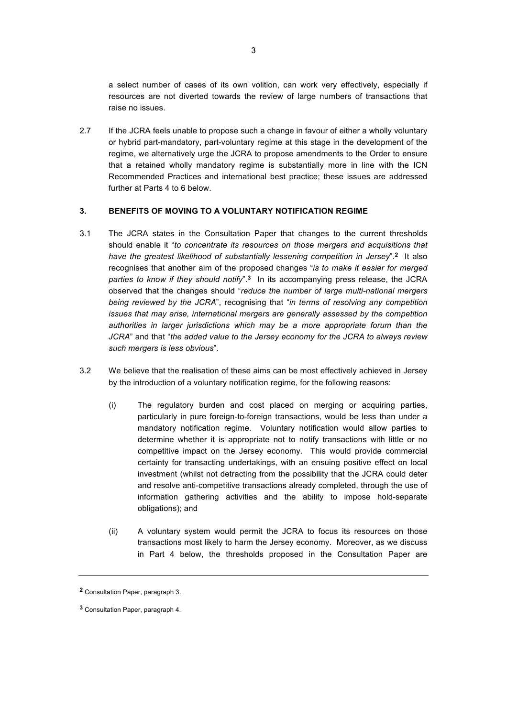a select number of cases of its own volition, can work very effectively, especially if resources are not diverted towards the review of large numbers of transactions that raise no issues.

2.7 If the JCRA feels unable to propose such a change in favour of either a wholly voluntary or hybrid part-mandatory, part-voluntary regime at this stage in the development of the regime, we alternatively urge the JCRA to propose amendments to the Order to ensure that a retained wholly mandatory regime is substantially more in line with the ICN Recommended Practices and international best practice; these issues are addressed further at Parts 4 to 6 below.

### **3. BENEFITS OF MOVING TO A VOLUNTARY NOTIFICATION REGIME**

- 3.1 The JCRA states in the Consultation Paper that changes to the current thresholds should enable it "*to concentrate its resources on those mergers and acquisitions that have the greatest likelihood of substantially lessening competition in Jersey*". **<sup>2</sup>** It also recognises that another aim of the proposed changes "*is to make it easier for merged parties to know if they should notify*".**3** In its accompanying press release, the JCRA observed that the changes should "*reduce the number of large multi-national mergers being reviewed by the JCRA*", recognising that "*in terms of resolving any competition issues that may arise, international mergers are generally assessed by the competition authorities in larger jurisdictions which may be a more appropriate forum than the JCRA*" and that "*the added value to the Jersey economy for the JCRA to always review such mergers is less obvious*".
- 3.2 We believe that the realisation of these aims can be most effectively achieved in Jersey by the introduction of a voluntary notification regime, for the following reasons:
	- (i) The regulatory burden and cost placed on merging or acquiring parties, particularly in pure foreign-to-foreign transactions, would be less than under a mandatory notification regime. Voluntary notification would allow parties to determine whether it is appropriate not to notify transactions with little or no competitive impact on the Jersey economy. This would provide commercial certainty for transacting undertakings, with an ensuing positive effect on local investment (whilst not detracting from the possibility that the JCRA could deter and resolve anti-competitive transactions already completed, through the use of information gathering activities and the ability to impose hold-separate obligations); and
	- (ii) A voluntary system would permit the JCRA to focus its resources on those transactions most likely to harm the Jersey economy. Moreover, as we discuss in Part 4 below, the thresholds proposed in the Consultation Paper are

**<sup>2</sup>** Consultation Paper, paragraph 3.

**<sup>3</sup>** Consultation Paper, paragraph 4.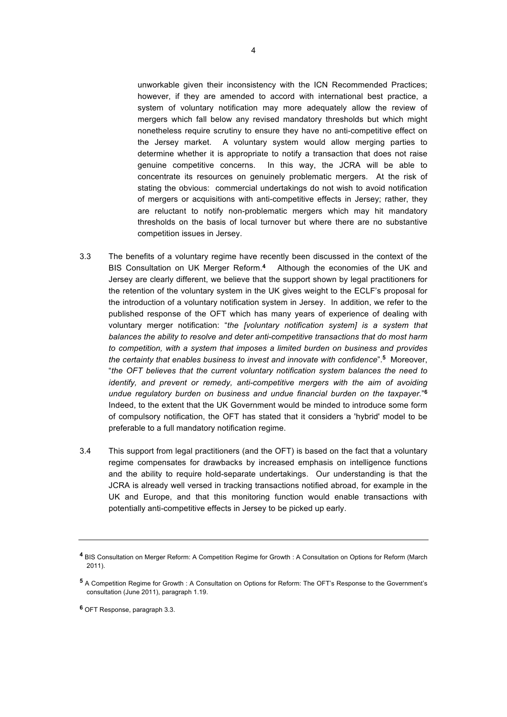unworkable given their inconsistency with the ICN Recommended Practices; however, if they are amended to accord with international best practice, a system of voluntary notification may more adequately allow the review of mergers which fall below any revised mandatory thresholds but which might nonetheless require scrutiny to ensure they have no anti-competitive effect on the Jersey market. A voluntary system would allow merging parties to determine whether it is appropriate to notify a transaction that does not raise genuine competitive concerns. In this way, the JCRA will be able to concentrate its resources on genuinely problematic mergers. At the risk of stating the obvious: commercial undertakings do not wish to avoid notification of mergers or acquisitions with anti-competitive effects in Jersey; rather, they are reluctant to notify non-problematic mergers which may hit mandatory thresholds on the basis of local turnover but where there are no substantive competition issues in Jersey.

- 3.3 The benefits of a voluntary regime have recently been discussed in the context of the BIS Consultation on UK Merger Reform. **<sup>4</sup>** Although the economies of the UK and Jersey are clearly different, we believe that the support shown by legal practitioners for the retention of the voluntary system in the UK gives weight to the ECLF's proposal for the introduction of a voluntary notification system in Jersey. In addition, we refer to the published response of the OFT which has many years of experience of dealing with voluntary merger notification: "*the [voluntary notification system] is a system that balances the ability to resolve and deter anti-competitive transactions that do most harm to competition, with a system that imposes a limited burden on business and provides the certainty that enables business to invest and innovate with confidence*". **<sup>5</sup>** Moreover, "*the OFT believes that the current voluntary notification system balances the need to identify, and prevent or remedy, anti-competitive mergers with the aim of avoiding undue regulatory burden on business and undue financial burden on the taxpayer.*"**<sup>6</sup>** Indeed, to the extent that the UK Government would be minded to introduce some form of compulsory notification, the OFT has stated that it considers a 'hybrid' model to be preferable to a full mandatory notification regime.
- 3.4 This support from legal practitioners (and the OFT) is based on the fact that a voluntary regime compensates for drawbacks by increased emphasis on intelligence functions and the ability to require hold-separate undertakings. Our understanding is that the JCRA is already well versed in tracking transactions notified abroad, for example in the UK and Europe, and that this monitoring function would enable transactions with potentially anti-competitive effects in Jersey to be picked up early.

**<sup>6</sup>** OFT Response, paragraph 3.3.

**<sup>4</sup>** BIS Consultation on Merger Reform: A Competition Regime for Growth : A Consultation on Options for Reform (March 2011).

**<sup>5</sup>** A Competition Regime for Growth : A Consultation on Options for Reform: The OFT's Response to the Government's consultation (June 2011), paragraph 1.19.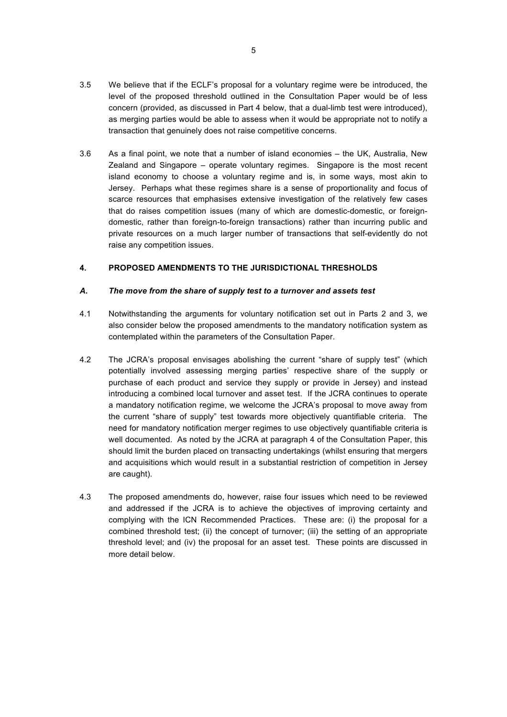- 3.5 We believe that if the ECLF's proposal for a voluntary regime were be introduced, the level of the proposed threshold outlined in the Consultation Paper would be of less concern (provided, as discussed in Part 4 below, that a dual-limb test were introduced), as merging parties would be able to assess when it would be appropriate not to notify a transaction that genuinely does not raise competitive concerns.
- 3.6 As a final point, we note that a number of island economies the UK, Australia, New Zealand and Singapore – operate voluntary regimes. Singapore is the most recent island economy to choose a voluntary regime and is, in some ways, most akin to Jersey. Perhaps what these regimes share is a sense of proportionality and focus of scarce resources that emphasises extensive investigation of the relatively few cases that do raises competition issues (many of which are domestic-domestic, or foreigndomestic, rather than foreign-to-foreign transactions) rather than incurring public and private resources on a much larger number of transactions that self-evidently do not raise any competition issues.

### **4. PROPOSED AMENDMENTS TO THE JURISDICTIONAL THRESHOLDS**

### *A. The move from the share of supply test to a turnover and assets test*

- 4.1 Notwithstanding the arguments for voluntary notification set out in Parts 2 and 3, we also consider below the proposed amendments to the mandatory notification system as contemplated within the parameters of the Consultation Paper.
- 4.2 The JCRA's proposal envisages abolishing the current "share of supply test" (which potentially involved assessing merging parties' respective share of the supply or purchase of each product and service they supply or provide in Jersey) and instead introducing a combined local turnover and asset test. If the JCRA continues to operate a mandatory notification regime, we welcome the JCRA's proposal to move away from the current "share of supply" test towards more objectively quantifiable criteria. The need for mandatory notification merger regimes to use objectively quantifiable criteria is well documented. As noted by the JCRA at paragraph 4 of the Consultation Paper, this should limit the burden placed on transacting undertakings (whilst ensuring that mergers and acquisitions which would result in a substantial restriction of competition in Jersey are caught).
- 4.3 The proposed amendments do, however, raise four issues which need to be reviewed and addressed if the JCRA is to achieve the objectives of improving certainty and complying with the ICN Recommended Practices. These are: (i) the proposal for a combined threshold test; (ii) the concept of turnover; (iii) the setting of an appropriate threshold level; and (iv) the proposal for an asset test. These points are discussed in more detail below.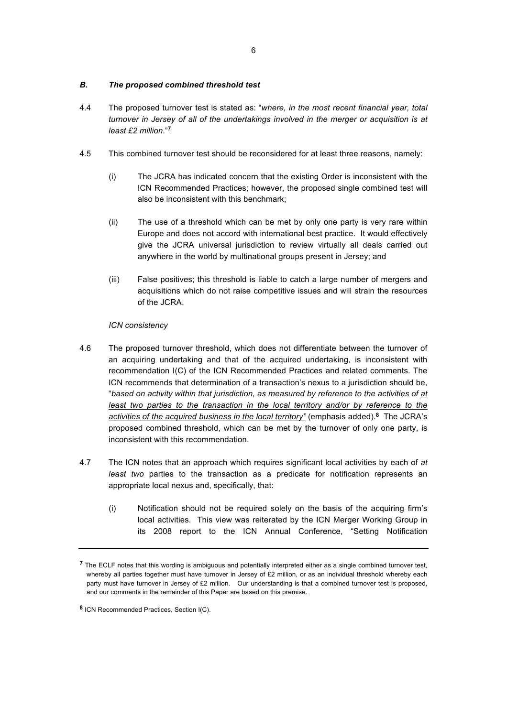### *B. The proposed combined threshold test*

- 4.4 The proposed turnover test is stated as: "*where, in the most recent financial year, total turnover in Jersey of all of the undertakings involved in the merger or acquisition is at least £2 million*."**<sup>7</sup>**
- 4.5 This combined turnover test should be reconsidered for at least three reasons, namely:
	- (i) The JCRA has indicated concern that the existing Order is inconsistent with the ICN Recommended Practices; however, the proposed single combined test will also be inconsistent with this benchmark;
	- (ii) The use of a threshold which can be met by only one party is very rare within Europe and does not accord with international best practice. It would effectively give the JCRA universal jurisdiction to review virtually all deals carried out anywhere in the world by multinational groups present in Jersey; and
	- (iii) False positives; this threshold is liable to catch a large number of mergers and acquisitions which do not raise competitive issues and will strain the resources of the JCRA.

### *ICN consistency*

- 4.6 The proposed turnover threshold, which does not differentiate between the turnover of an acquiring undertaking and that of the acquired undertaking, is inconsistent with recommendation I(C) of the ICN Recommended Practices and related comments. The ICN recommends that determination of a transaction's nexus to a jurisdiction should be, "*based on activity within that jurisdiction, as measured by reference to the activities of at least two parties to the transaction in the local territory and/or by reference to the activities of the acquired business in the local territory"* (emphasis added). **<sup>8</sup>** The JCRA's proposed combined threshold, which can be met by the turnover of only one party, is inconsistent with this recommendation.
- 4.7 The ICN notes that an approach which requires significant local activities by each of *at least two* parties to the transaction as a predicate for notification represents an appropriate local nexus and, specifically, that:
	- (i) Notification should not be required solely on the basis of the acquiring firm's local activities. This view was reiterated by the ICN Merger Working Group in its 2008 report to the ICN Annual Conference, "Setting Notification

**<sup>7</sup>** The ECLF notes that this wording is ambiguous and potentially interpreted either as a single combined turnover test, whereby all parties together must have turnover in Jersey of £2 million, or as an individual threshold whereby each party must have turnover in Jersey of £2 million. Our understanding is that a combined turnover test is proposed, and our comments in the remainder of this Paper are based on this premise.

**<sup>8</sup>** ICN Recommended Practices, Section I(C).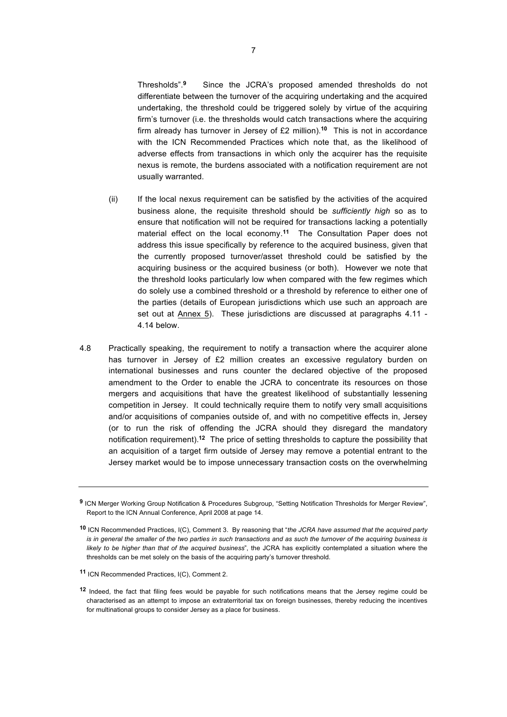Thresholds".**9** Since the JCRA's proposed amended thresholds do not differentiate between the turnover of the acquiring undertaking and the acquired undertaking, the threshold could be triggered solely by virtue of the acquiring firm's turnover (i.e. the thresholds would catch transactions where the acquiring firm already has turnover in Jersey of £2 million).**10** This is not in accordance with the ICN Recommended Practices which note that, as the likelihood of adverse effects from transactions in which only the acquirer has the requisite nexus is remote, the burdens associated with a notification requirement are not usually warranted.

- (ii) If the local nexus requirement can be satisfied by the activities of the acquired business alone, the requisite threshold should be *sufficiently high* so as to ensure that notification will not be required for transactions lacking a potentially material effect on the local economy. **<sup>11</sup>** The Consultation Paper does not address this issue specifically by reference to the acquired business, given that the currently proposed turnover/asset threshold could be satisfied by the acquiring business or the acquired business (or both). However we note that the threshold looks particularly low when compared with the few regimes which do solely use a combined threshold or a threshold by reference to either one of the parties (details of European jurisdictions which use such an approach are set out at Annex 5). These jurisdictions are discussed at paragraphs 4.11 - 4.14 below.
- 4.8 Practically speaking, the requirement to notify a transaction where the acquirer alone has turnover in Jersey of £2 million creates an excessive regulatory burden on international businesses and runs counter the declared objective of the proposed amendment to the Order to enable the JCRA to concentrate its resources on those mergers and acquisitions that have the greatest likelihood of substantially lessening competition in Jersey. It could technically require them to notify very small acquisitions and/or acquisitions of companies outside of, and with no competitive effects in, Jersey (or to run the risk of offending the JCRA should they disregard the mandatory notification requirement). **<sup>12</sup>** The price of setting thresholds to capture the possibility that an acquisition of a target firm outside of Jersey may remove a potential entrant to the Jersey market would be to impose unnecessary transaction costs on the overwhelming

**<sup>9</sup>** ICN Merger Working Group Notification & Procedures Subgroup, "Setting Notification Thresholds for Merger Review", Report to the ICN Annual Conference, April 2008 at page 14.

**<sup>10</sup>** ICN Recommended Practices, I(C), Comment 3. By reasoning that "*the JCRA have assumed that the acquired party is in general the smaller of the two parties in such transactions and as such the turnover of the acquiring business is likely to be higher than that of the acquired business*", the JCRA has explicitly contemplated a situation where the thresholds can be met solely on the basis of the acquiring party's turnover threshold.

**<sup>11</sup>** ICN Recommended Practices, I(C), Comment 2.

**<sup>12</sup>** Indeed, the fact that filing fees would be payable for such notifications means that the Jersey regime could be characterised as an attempt to impose an extraterritorial tax on foreign businesses, thereby reducing the incentives for multinational groups to consider Jersey as a place for business.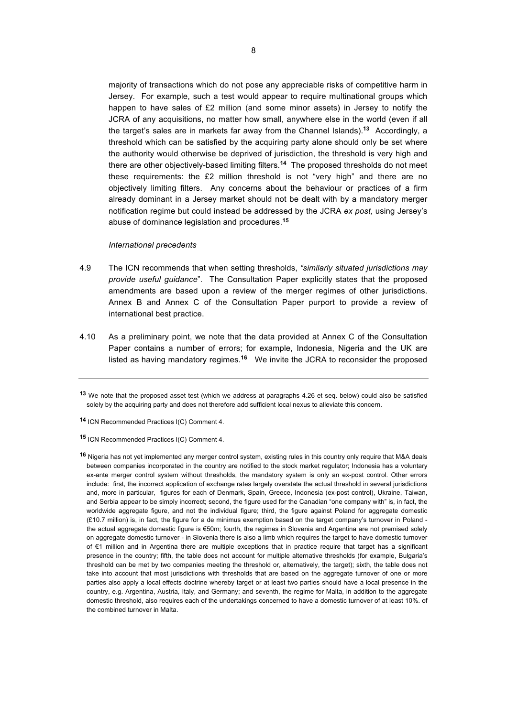majority of transactions which do not pose any appreciable risks of competitive harm in Jersey. For example, such a test would appear to require multinational groups which happen to have sales of £2 million (and some minor assets) in Jersey to notify the JCRA of any acquisitions, no matter how small, anywhere else in the world (even if all the target's sales are in markets far away from the Channel Islands).**13** Accordingly, a threshold which can be satisfied by the acquiring party alone should only be set where the authority would otherwise be deprived of jurisdiction, the threshold is very high and there are other objectively-based limiting filters.**14** The proposed thresholds do not meet these requirements: the £2 million threshold is not "very high" and there are no objectively limiting filters. Any concerns about the behaviour or practices of a firm already dominant in a Jersey market should not be dealt with by a mandatory merger notification regime but could instead be addressed by the JCRA *ex post,* using Jersey's abuse of dominance legislation and procedures.**<sup>15</sup>**

### *International precedents*

- 4.9 The ICN recommends that when setting thresholds, *"similarly situated jurisdictions may provide useful guidance*". The Consultation Paper explicitly states that the proposed amendments are based upon a review of the merger regimes of other jurisdictions. Annex B and Annex C of the Consultation Paper purport to provide a review of international best practice.
- 4.10 As a preliminary point, we note that the data provided at Annex C of the Consultation Paper contains a number of errors; for example, Indonesia, Nigeria and the UK are listed as having mandatory regimes.**16** We invite the JCRA to reconsider the proposed

**<sup>13</sup>** We note that the proposed asset test (which we address at paragraphs 4.26 et seq. below) could also be satisfied solely by the acquiring party and does not therefore add sufficient local nexus to alleviate this concern.

**<sup>14</sup>** ICN Recommended Practices I(C) Comment 4.

**<sup>15</sup>** ICN Recommended Practices I(C) Comment 4.

**<sup>16</sup>** Nigeria has not yet implemented any merger control system, existing rules in this country only require that M&A deals between companies incorporated in the country are notified to the stock market regulator; Indonesia has a voluntary ex-ante merger control system without thresholds, the mandatory system is only an ex-post control. Other errors include: first, the incorrect application of exchange rates largely overstate the actual threshold in several jurisdictions and, more in particular, figures for each of Denmark, Spain, Greece, Indonesia (ex-post control), Ukraine, Taiwan, and Serbia appear to be simply incorrect; second, the figure used for the Canadian "one company with" is, in fact, the worldwide aggregate figure, and not the individual figure; third, the figure against Poland for aggregate domestic (£10.7 million) is, in fact, the figure for a de minimus exemption based on the target company's turnover in Poland the actual aggregate domestic figure is €50m; fourth, the regimes in Slovenia and Argentina are not premised solely on aggregate domestic turnover - in Slovenia there is also a limb which requires the target to have domestic turnover of  $61$  million and in Argentina there are multiple exceptions that in practice require that target has a significant presence in the country; fifth, the table does not account for multiple alternative thresholds (for example, Bulgaria's threshold can be met by two companies meeting the threshold or, alternatively, the target); sixth, the table does not take into account that most jurisdictions with thresholds that are based on the aggregate turnover of one or more parties also apply a local effects doctrine whereby target or at least two parties should have a local presence in the country, e.g. Argentina, Austria, Italy, and Germany; and seventh, the regime for Malta, in addition to the aggregate domestic threshold, also requires each of the undertakings concerned to have a domestic turnover of at least 10%. of the combined turnover in Malta.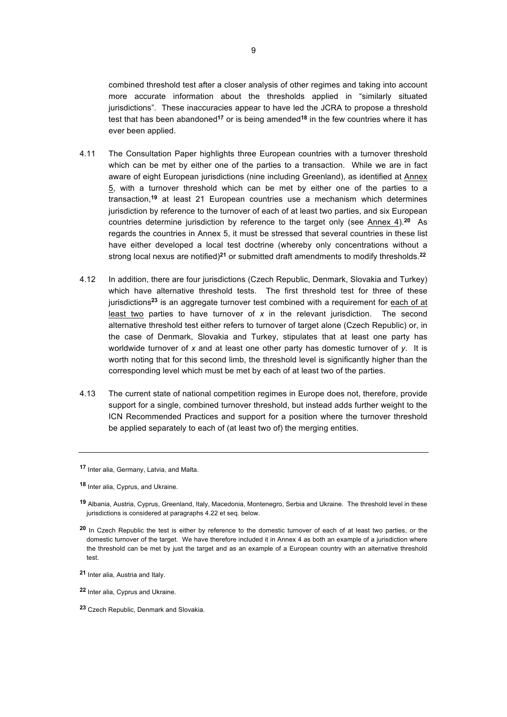combined threshold test after a closer analysis of other regimes and taking into account more accurate information about the thresholds applied in "similarly situated jurisdictions". These inaccuracies appear to have led the JCRA to propose a threshold test that has been abandoned**<sup>17</sup>** or is being amended**<sup>18</sup>** in the few countries where it has ever been applied.

- 4.11 The Consultation Paper highlights three European countries with a turnover threshold which can be met by either one of the parties to a transaction. While we are in fact aware of eight European jurisdictions (nine including Greenland), as identified at Annex 5, with a turnover threshold which can be met by either one of the parties to a transaction,**<sup>19</sup>** at least 21 European countries use a mechanism which determines jurisdiction by reference to the turnover of each of at least two parties, and six European countries determine jurisdiction by reference to the target only (see Annex 4). **<sup>20</sup>** As regards the countries in Annex 5, it must be stressed that several countries in these list have either developed a local test doctrine (whereby only concentrations without a strong local nexus are notified)**<sup>21</sup>** or submitted draft amendments to modify thresholds. **22**
- 4.12 In addition, there are four jurisdictions (Czech Republic, Denmark, Slovakia and Turkey) which have alternative threshold tests. The first threshold test for three of these jurisdictions**<sup>23</sup>** is an aggregate turnover test combined with a requirement for each of at least two parties to have turnover of *x* in the relevant jurisdiction. The second alternative threshold test either refers to turnover of target alone (Czech Republic) or, in the case of Denmark, Slovakia and Turkey, stipulates that at least one party has worldwide turnover of *x* and at least one other party has domestic turnover of *y*. It is worth noting that for this second limb, the threshold level is significantly higher than the corresponding level which must be met by each of at least two of the parties.
- 4.13 The current state of national competition regimes in Europe does not, therefore, provide support for a single, combined turnover threshold, but instead adds further weight to the ICN Recommended Practices and support for a position where the turnover threshold be applied separately to each of (at least two of) the merging entities.

**<sup>17</sup>** Inter alia, Germany, Latvia, and Malta.

**<sup>18</sup>** Inter alia, Cyprus, and Ukraine.

**<sup>19</sup>** Albania, Austria, Cyprus, Greenland, Italy, Macedonia, Montenegro, Serbia and Ukraine. The threshold level in these jurisdictions is considered at paragraphs 4.22 et seq. below.

**<sup>20</sup>** In Czech Republic the test is either by reference to the domestic turnover of each of at least two parties, or the domestic turnover of the target. We have therefore included it in Annex 4 as both an example of a jurisdiction where the threshold can be met by just the target and as an example of a European country with an alternative threshold test.

**<sup>21</sup>** Inter alia, Austria and Italy.

**<sup>22</sup>** Inter alia, Cyprus and Ukraine.

**<sup>23</sup>** Czech Republic, Denmark and Slovakia.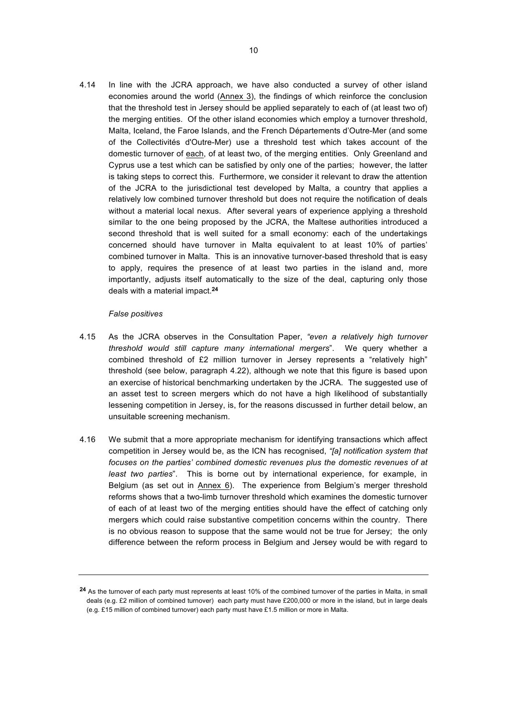4.14 In line with the JCRA approach, we have also conducted a survey of other island economies around the world (Annex 3), the findings of which reinforce the conclusion that the threshold test in Jersey should be applied separately to each of (at least two of) the merging entities. Of the other island economies which employ a turnover threshold, Malta, Iceland, the Faroe Islands, and the French Départements d'Outre-Mer (and some of the Collectivités d'Outre-Mer) use a threshold test which takes account of the domestic turnover of each, of at least two, of the merging entities. Only Greenland and Cyprus use a test which can be satisfied by only one of the parties; however, the latter is taking steps to correct this. Furthermore, we consider it relevant to draw the attention of the JCRA to the jurisdictional test developed by Malta, a country that applies a relatively low combined turnover threshold but does not require the notification of deals without a material local nexus. After several years of experience applying a threshold similar to the one being proposed by the JCRA, the Maltese authorities introduced a second threshold that is well suited for a small economy: each of the undertakings concerned should have turnover in Malta equivalent to at least 10% of parties' combined turnover in Malta. This is an innovative turnover-based threshold that is easy to apply, requires the presence of at least two parties in the island and, more importantly, adjusts itself automatically to the size of the deal, capturing only those deals with a material impact. **24**

### *False positives*

- 4.15 As the JCRA observes in the Consultation Paper, *"even a relatively high turnover threshold would still capture many international mergers*". We query whether a combined threshold of £2 million turnover in Jersey represents a "relatively high" threshold (see below, paragraph 4.22), although we note that this figure is based upon an exercise of historical benchmarking undertaken by the JCRA. The suggested use of an asset test to screen mergers which do not have a high likelihood of substantially lessening competition in Jersey, is, for the reasons discussed in further detail below, an unsuitable screening mechanism.
- 4.16 We submit that a more appropriate mechanism for identifying transactions which affect competition in Jersey would be, as the ICN has recognised, *"[a] notification system that focuses on the parties' combined domestic revenues plus the domestic revenues of at least two parties*". This is borne out by international experience, for example, in Belgium (as set out in  $Annex 6$ ). The experience from Belgium's merger threshold reforms shows that a two-limb turnover threshold which examines the domestic turnover of each of at least two of the merging entities should have the effect of catching only mergers which could raise substantive competition concerns within the country. There is no obvious reason to suppose that the same would not be true for Jersey; the only difference between the reform process in Belgium and Jersey would be with regard to

**<sup>24</sup>** As the turnover of each party must represents at least 10% of the combined turnover of the parties in Malta, in small deals (e.g. £2 million of combined turnover) each party must have £200,000 or more in the island, but in large deals (e.g. £15 million of combined turnover) each party must have £1.5 million or more in Malta.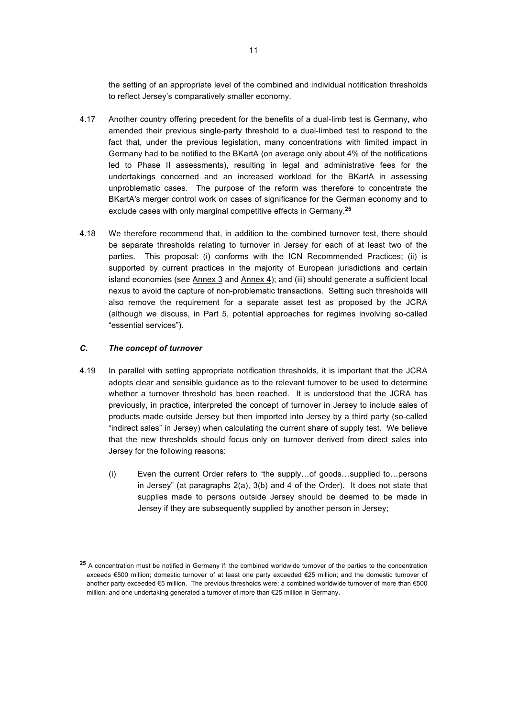the setting of an appropriate level of the combined and individual notification thresholds to reflect Jersey's comparatively smaller economy.

- 4.17 Another country offering precedent for the benefits of a dual-limb test is Germany, who amended their previous single-party threshold to a dual-limbed test to respond to the fact that, under the previous legislation, many concentrations with limited impact in Germany had to be notified to the BKartA (on average only about 4% of the notifications led to Phase II assessments), resulting in legal and administrative fees for the undertakings concerned and an increased workload for the BKartA in assessing unproblematic cases. The purpose of the reform was therefore to concentrate the BKartA's merger control work on cases of significance for the German economy and to exclude cases with only marginal competitive effects in Germany. **25**
- 4.18 We therefore recommend that, in addition to the combined turnover test, there should be separate thresholds relating to turnover in Jersey for each of at least two of the parties. This proposal: (i) conforms with the ICN Recommended Practices; (ii) is supported by current practices in the majority of European jurisdictions and certain island economies (see Annex 3 and Annex 4); and (iii) should generate a sufficient local nexus to avoid the capture of non-problematic transactions. Setting such thresholds will also remove the requirement for a separate asset test as proposed by the JCRA (although we discuss, in Part 5, potential approaches for regimes involving so-called "essential services").

### *C. The concept of turnover*

- 4.19 In parallel with setting appropriate notification thresholds, it is important that the JCRA adopts clear and sensible guidance as to the relevant turnover to be used to determine whether a turnover threshold has been reached. It is understood that the JCRA has previously, in practice, interpreted the concept of turnover in Jersey to include sales of products made outside Jersey but then imported into Jersey by a third party (so-called "indirect sales" in Jersey) when calculating the current share of supply test. We believe that the new thresholds should focus only on turnover derived from direct sales into Jersey for the following reasons:
	- (i) Even the current Order refers to "the supply...of goods...supplied to...persons in Jersey" (at paragraphs 2(a), 3(b) and 4 of the Order). It does not state that supplies made to persons outside Jersey should be deemed to be made in Jersey if they are subsequently supplied by another person in Jersey;

**<sup>25</sup>** A concentration must be notified in Germany if: the combined worldwide turnover of the parties to the concentration exceeds €500 million; domestic turnover of at least one party exceeded €25 million; and the domestic turnover of another party exceeded  $\epsilon$ 5 million. The previous thresholds were: a combined worldwide turnover of more than  $\epsilon$ 500 million; and one undertaking generated a turnover of more than €25 million in Germany.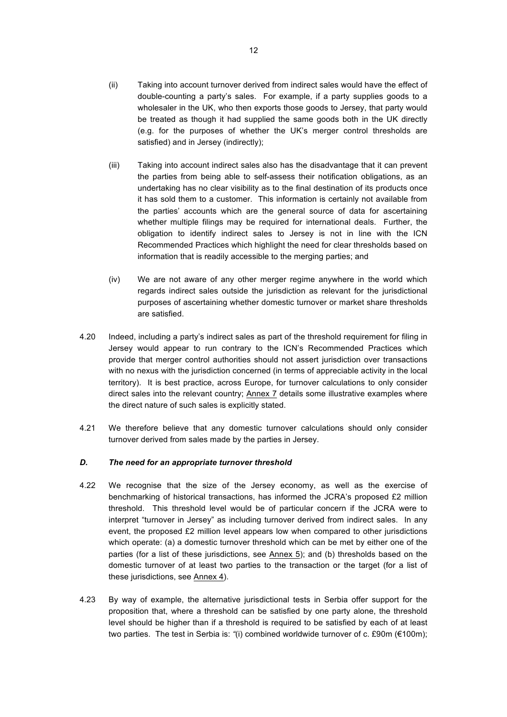- (ii) Taking into account turnover derived from indirect sales would have the effect of double-counting a party's sales. For example, if a party supplies goods to a wholesaler in the UK, who then exports those goods to Jersey, that party would be treated as though it had supplied the same goods both in the UK directly (e.g. for the purposes of whether the UK's merger control thresholds are satisfied) and in Jersey (indirectly);
- (iii) Taking into account indirect sales also has the disadvantage that it can prevent the parties from being able to self-assess their notification obligations, as an undertaking has no clear visibility as to the final destination of its products once it has sold them to a customer. This information is certainly not available from the parties' accounts which are the general source of data for ascertaining whether multiple filings may be required for international deals. Further, the obligation to identify indirect sales to Jersey is not in line with the ICN Recommended Practices which highlight the need for clear thresholds based on information that is readily accessible to the merging parties; and
- (iv) We are not aware of any other merger regime anywhere in the world which regards indirect sales outside the jurisdiction as relevant for the jurisdictional purposes of ascertaining whether domestic turnover or market share thresholds are satisfied.
- 4.20 Indeed, including a party's indirect sales as part of the threshold requirement for filing in Jersey would appear to run contrary to the ICN's Recommended Practices which provide that merger control authorities should not assert jurisdiction over transactions with no nexus with the jurisdiction concerned (in terms of appreciable activity in the local territory). It is best practice, across Europe, for turnover calculations to only consider direct sales into the relevant country; Annex 7 details some illustrative examples where the direct nature of such sales is explicitly stated.
- 4.21 We therefore believe that any domestic turnover calculations should only consider turnover derived from sales made by the parties in Jersey.

### *D. The need for an appropriate turnover threshold*

- 4.22 We recognise that the size of the Jersey economy, as well as the exercise of benchmarking of historical transactions, has informed the JCRA's proposed £2 million threshold. This threshold level would be of particular concern if the JCRA were to interpret "turnover in Jersey" as including turnover derived from indirect sales. In any event, the proposed £2 million level appears low when compared to other jurisdictions which operate: (a) a domestic turnover threshold which can be met by either one of the parties (for a list of these jurisdictions, see Annex 5); and (b) thresholds based on the domestic turnover of at least two parties to the transaction or the target (for a list of these jurisdictions, see Annex 4).
- 4.23 By way of example, the alternative jurisdictional tests in Serbia offer support for the proposition that, where a threshold can be satisfied by one party alone, the threshold level should be higher than if a threshold is required to be satisfied by each of at least two parties. The test in Serbia is: "(i) combined worldwide turnover of c. £90m (€100m);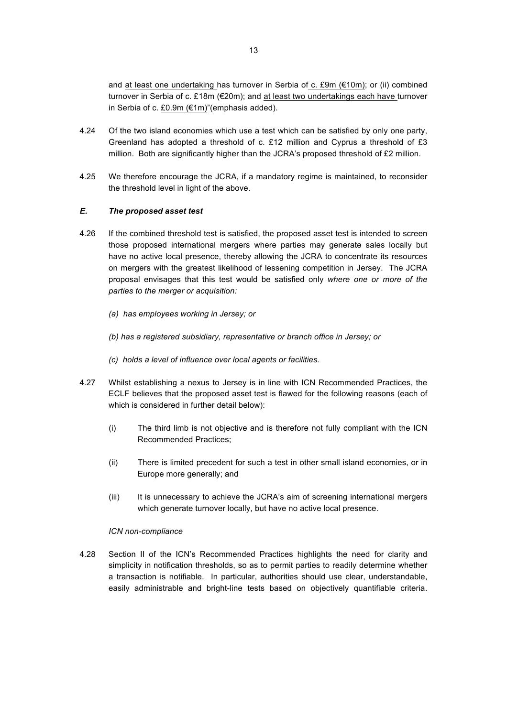and at least one undertaking has turnover in Serbia of c. £9m ( $\epsilon$ 10m); or (ii) combined turnover in Serbia of c. £18m ( $E$ 20m); and at least two undertakings each have turnover in Serbia of c. £0.9m ( $\epsilon$ 1m)"(emphasis added).

- 4.24 Of the two island economies which use a test which can be satisfied by only one party, Greenland has adopted a threshold of c. £12 million and Cyprus a threshold of £3 million. Both are significantly higher than the JCRA's proposed threshold of £2 million.
- 4.25 We therefore encourage the JCRA, if a mandatory regime is maintained, to reconsider the threshold level in light of the above.

### *E. The proposed asset test*

- 4.26 If the combined threshold test is satisfied, the proposed asset test is intended to screen those proposed international mergers where parties may generate sales locally but have no active local presence, thereby allowing the JCRA to concentrate its resources on mergers with the greatest likelihood of lessening competition in Jersey. The JCRA proposal envisages that this test would be satisfied only *where one or more of the parties to the merger or acquisition:*
	- *(a) has employees working in Jersey; or*
	- *(b) has a registered subsidiary, representative or branch office in Jersey; or*
	- *(c) holds a level of influence over local agents or facilities.*
- 4.27 Whilst establishing a nexus to Jersey is in line with ICN Recommended Practices, the ECLF believes that the proposed asset test is flawed for the following reasons (each of which is considered in further detail below):
	- (i) The third limb is not objective and is therefore not fully compliant with the ICN Recommended Practices;
	- (ii) There is limited precedent for such a test in other small island economies, or in Europe more generally; and
	- (iii) It is unnecessary to achieve the JCRA's aim of screening international mergers which generate turnover locally, but have no active local presence.

### *ICN non-compliance*

4.28 Section II of the ICN's Recommended Practices highlights the need for clarity and simplicity in notification thresholds, so as to permit parties to readily determine whether a transaction is notifiable. In particular, authorities should use clear, understandable, easily administrable and bright-line tests based on objectively quantifiable criteria.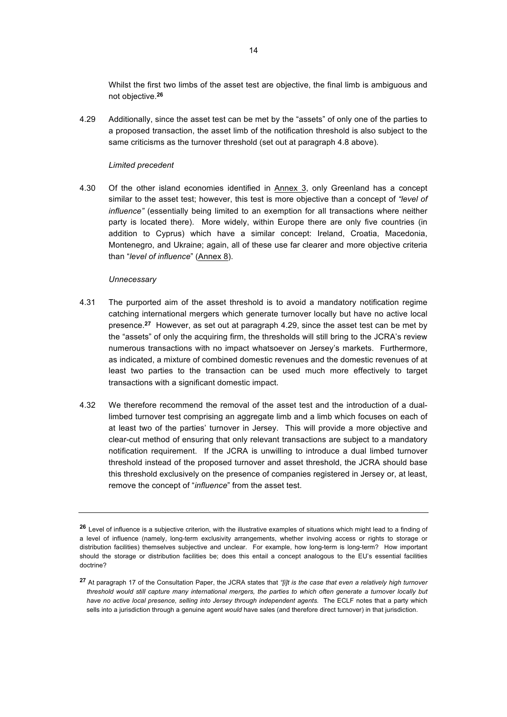Whilst the first two limbs of the asset test are objective, the final limb is ambiguous and not objective.**<sup>26</sup>**

4.29 Additionally, since the asset test can be met by the "assets" of only one of the parties to a proposed transaction, the asset limb of the notification threshold is also subject to the same criticisms as the turnover threshold (set out at paragraph 4.8 above).

### *Limited precedent*

4.30 Of the other island economies identified in Annex 3, only Greenland has a concept similar to the asset test; however, this test is more objective than a concept of *"level of influence"* (essentially being limited to an exemption for all transactions where neither party is located there). More widely, within Europe there are only five countries (in addition to Cyprus) which have a similar concept: Ireland, Croatia, Macedonia, Montenegro, and Ukraine; again, all of these use far clearer and more objective criteria than "*level of influence*" (Annex 8).

### *Unnecessary*

- 4.31 The purported aim of the asset threshold is to avoid a mandatory notification regime catching international mergers which generate turnover locally but have no active local presence.**27** However, as set out at paragraph 4.29, since the asset test can be met by the "assets" of only the acquiring firm, the thresholds will still bring to the JCRA's review numerous transactions with no impact whatsoever on Jersey's markets. Furthermore, as indicated, a mixture of combined domestic revenues and the domestic revenues of at least two parties to the transaction can be used much more effectively to target transactions with a significant domestic impact.
- 4.32 We therefore recommend the removal of the asset test and the introduction of a duallimbed turnover test comprising an aggregate limb and a limb which focuses on each of at least two of the parties' turnover in Jersey. This will provide a more objective and clear-cut method of ensuring that only relevant transactions are subject to a mandatory notification requirement. If the JCRA is unwilling to introduce a dual limbed turnover threshold instead of the proposed turnover and asset threshold, the JCRA should base this threshold exclusively on the presence of companies registered in Jersey or, at least, remove the concept of "*influence*" from the asset test.

**<sup>26</sup>** Level of influence is a subjective criterion, with the illustrative examples of situations which might lead to a finding of a level of influence (namely, long-term exclusivity arrangements, whether involving access or rights to storage or distribution facilities) themselves subjective and unclear. For example, how long-term is long-term? How important should the storage or distribution facilities be; does this entail a concept analogous to the EU's essential facilities doctrine?

**<sup>27</sup>** At paragraph 17 of the Consultation Paper, the JCRA states that *"[i]t is the case that even a relatively high turnover threshold would still capture many international mergers, the parties to which often generate a turnover locally but have no active local presence, selling into Jersey through independent agents.* The ECLF notes that a party which sells into a jurisdiction through a genuine agent *would* have sales (and therefore direct turnover) in that jurisdiction.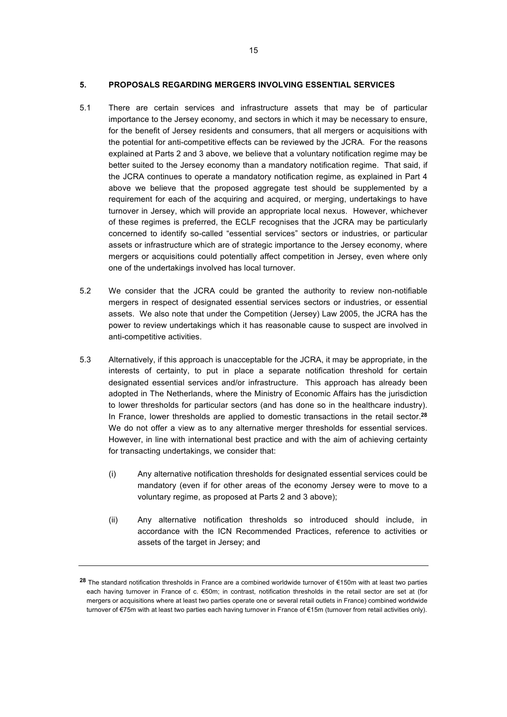### **5. PROPOSALS REGARDING MERGERS INVOLVING ESSENTIAL SERVICES**

- 5.1 There are certain services and infrastructure assets that may be of particular importance to the Jersey economy, and sectors in which it may be necessary to ensure, for the benefit of Jersey residents and consumers, that all mergers or acquisitions with the potential for anti-competitive effects can be reviewed by the JCRA. For the reasons explained at Parts 2 and 3 above, we believe that a voluntary notification regime may be better suited to the Jersey economy than a mandatory notification regime. That said, if the JCRA continues to operate a mandatory notification regime, as explained in Part 4 above we believe that the proposed aggregate test should be supplemented by a requirement for each of the acquiring and acquired, or merging, undertakings to have turnover in Jersey, which will provide an appropriate local nexus. However, whichever of these regimes is preferred, the ECLF recognises that the JCRA may be particularly concerned to identify so-called "essential services" sectors or industries, or particular assets or infrastructure which are of strategic importance to the Jersey economy, where mergers or acquisitions could potentially affect competition in Jersey, even where only one of the undertakings involved has local turnover.
- 5.2 We consider that the JCRA could be granted the authority to review non-notifiable mergers in respect of designated essential services sectors or industries, or essential assets. We also note that under the Competition (Jersey) Law 2005, the JCRA has the power to review undertakings which it has reasonable cause to suspect are involved in anti-competitive activities.
- 5.3 Alternatively, if this approach is unacceptable for the JCRA, it may be appropriate, in the interests of certainty, to put in place a separate notification threshold for certain designated essential services and/or infrastructure. This approach has already been adopted in The Netherlands, where the Ministry of Economic Affairs has the jurisdiction to lower thresholds for particular sectors (and has done so in the healthcare industry). In France, lower thresholds are applied to domestic transactions in the retail sector.**<sup>28</sup>** We do not offer a view as to any alternative merger thresholds for essential services. However, in line with international best practice and with the aim of achieving certainty for transacting undertakings, we consider that:
	- (i) Any alternative notification thresholds for designated essential services could be mandatory (even if for other areas of the economy Jersey were to move to a voluntary regime, as proposed at Parts 2 and 3 above);
	- (ii) Any alternative notification thresholds so introduced should include, in accordance with the ICN Recommended Practices, reference to activities or assets of the target in Jersey; and

**<sup>28</sup>** The standard notification thresholds in France are a combined worldwide turnover of €150m with at least two parties each having turnover in France of c. €50m; in contrast, notification thresholds in the retail sector are set at (for mergers or acquisitions where at least two parties operate one or several retail outlets in France) combined worldwide turnover of  $\epsilon$ 75m with at least two parties each having turnover in France of  $\epsilon$ 15m (turnover from retail activities only).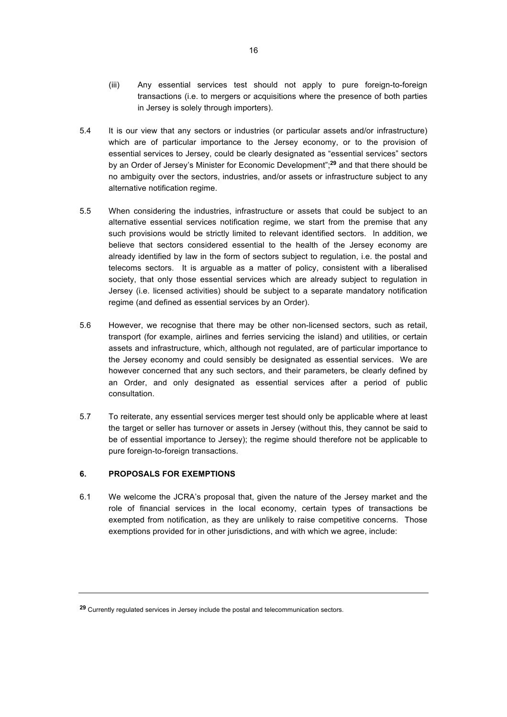- (iii) Any essential services test should not apply to pure foreign-to-foreign transactions (i.e. to mergers or acquisitions where the presence of both parties in Jersey is solely through importers).
- 5.4 It is our view that any sectors or industries (or particular assets and/or infrastructure) which are of particular importance to the Jersey economy, or to the provision of essential services to Jersey, could be clearly designated as "essential services" sectors by an Order of Jersey's Minister for Economic Development";**<sup>29</sup>** and that there should be no ambiguity over the sectors, industries, and/or assets or infrastructure subject to any alternative notification regime.
- 5.5 When considering the industries, infrastructure or assets that could be subject to an alternative essential services notification regime, we start from the premise that any such provisions would be strictly limited to relevant identified sectors. In addition, we believe that sectors considered essential to the health of the Jersey economy are already identified by law in the form of sectors subject to regulation, i.e. the postal and telecoms sectors. It is arguable as a matter of policy, consistent with a liberalised society, that only those essential services which are already subject to regulation in Jersey (i.e. licensed activities) should be subject to a separate mandatory notification regime (and defined as essential services by an Order).
- 5.6 However, we recognise that there may be other non-licensed sectors, such as retail, transport (for example, airlines and ferries servicing the island) and utilities, or certain assets and infrastructure, which, although not regulated, are of particular importance to the Jersey economy and could sensibly be designated as essential services. We are however concerned that any such sectors, and their parameters, be clearly defined by an Order, and only designated as essential services after a period of public consultation.
- 5.7 To reiterate, any essential services merger test should only be applicable where at least the target or seller has turnover or assets in Jersey (without this, they cannot be said to be of essential importance to Jersey); the regime should therefore not be applicable to pure foreign-to-foreign transactions.

### **6. PROPOSALS FOR EXEMPTIONS**

6.1 We welcome the JCRA's proposal that, given the nature of the Jersey market and the role of financial services in the local economy, certain types of transactions be exempted from notification, as they are unlikely to raise competitive concerns. Those exemptions provided for in other jurisdictions, and with which we agree, include:

**<sup>29</sup>** Currently regulated services in Jersey include the postal and telecommunication sectors.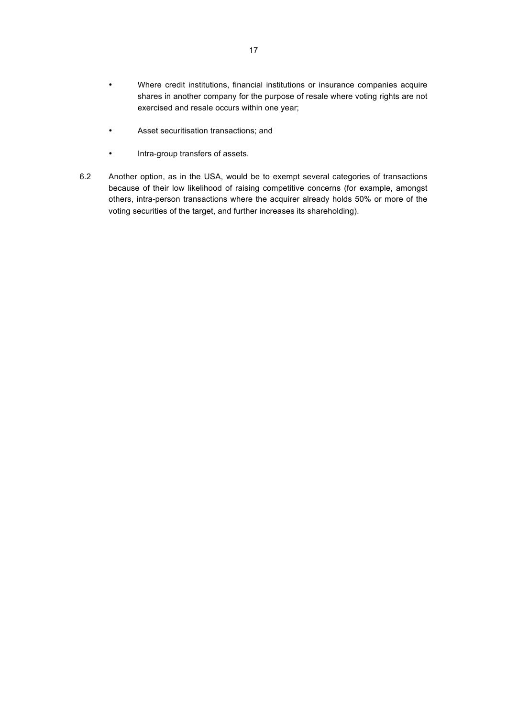- Where credit institutions, financial institutions or insurance companies acquire shares in another company for the purpose of resale where voting rights are not exercised and resale occurs within one year;
- Asset securitisation transactions; and
- Intra-group transfers of assets.
- 6.2 Another option, as in the USA, would be to exempt several categories of transactions because of their low likelihood of raising competitive concerns (for example, amongst others, intra-person transactions where the acquirer already holds 50% or more of the voting securities of the target, and further increases its shareholding).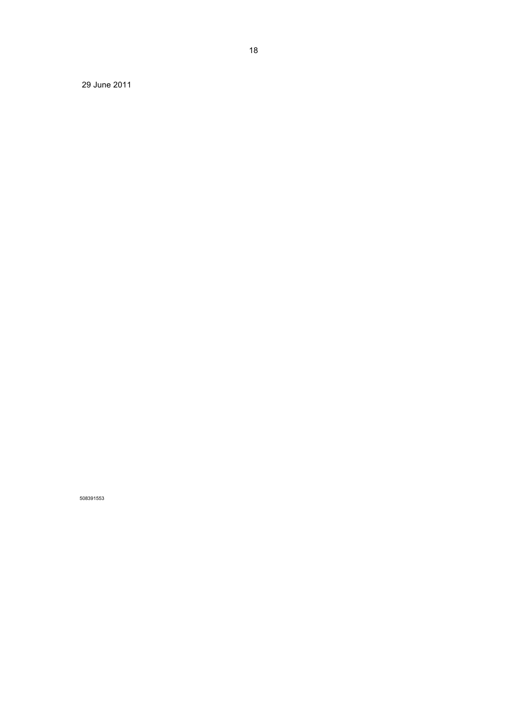June 2011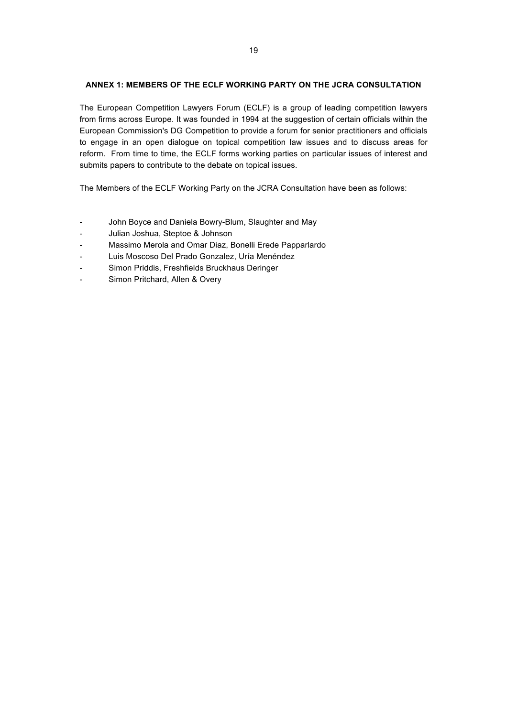### **ANNEX 1: MEMBERS OF THE ECLF WORKING PARTY ON THE JCRA CONSULTATION**

The European Competition Lawyers Forum (ECLF) is a group of leading competition lawyers from firms across Europe. It was founded in 1994 at the suggestion of certain officials within the European Commission's DG Competition to provide a forum for senior practitioners and officials to engage in an open dialogue on topical competition law issues and to discuss areas for reform. From time to time, the ECLF forms working parties on particular issues of interest and submits papers to contribute to the debate on topical issues.

The Members of the ECLF Working Party on the JCRA Consultation have been as follows:

- John Boyce and Daniela Bowry-Blum, Slaughter and May
- Julian Joshua, Steptoe & Johnson
- Massimo Merola and Omar Diaz, Bonelli Erede Papparlardo
- Luis Moscoso Del Prado Gonzalez, Uría Menéndez
- Simon Priddis, Freshfields Bruckhaus Deringer
- Simon Pritchard, Allen & Overy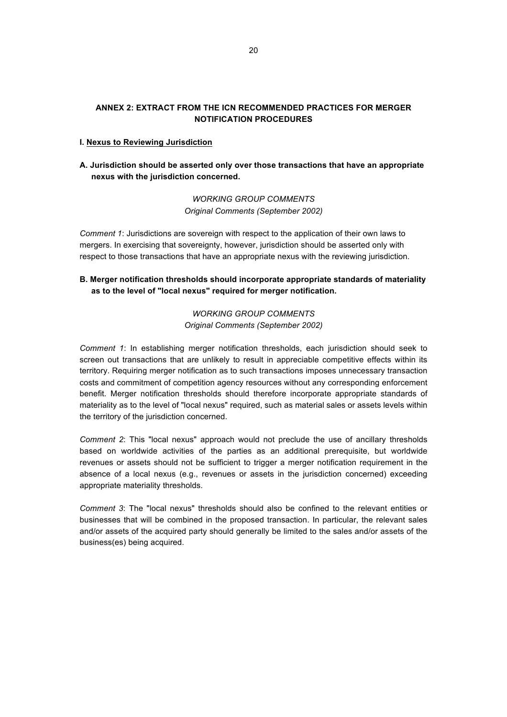### **ANNEX 2: EXTRACT FROM THE ICN RECOMMENDED PRACTICES FOR MERGER NOTIFICATION PROCEDURES**

### **I. Nexus to Reviewing Jurisdiction**

### **A. Jurisdiction should be asserted only over those transactions that have an appropriate nexus with the jurisdiction concerned.**

*WORKING GROUP COMMENTS Original Comments (September 2002)*

*Comment 1*: Jurisdictions are sovereign with respect to the application of their own laws to mergers. In exercising that sovereignty, however, jurisdiction should be asserted only with respect to those transactions that have an appropriate nexus with the reviewing jurisdiction.

### **B. Merger notification thresholds should incorporate appropriate standards of materiality as to the level of "local nexus" required for merger notification.**

*WORKING GROUP COMMENTS Original Comments (September 2002)*

*Comment 1*: In establishing merger notification thresholds, each jurisdiction should seek to screen out transactions that are unlikely to result in appreciable competitive effects within its territory. Requiring merger notification as to such transactions imposes unnecessary transaction costs and commitment of competition agency resources without any corresponding enforcement benefit. Merger notification thresholds should therefore incorporate appropriate standards of materiality as to the level of "local nexus" required, such as material sales or assets levels within the territory of the jurisdiction concerned.

*Comment 2*: This "local nexus" approach would not preclude the use of ancillary thresholds based on worldwide activities of the parties as an additional prerequisite, but worldwide revenues or assets should not be sufficient to trigger a merger notification requirement in the absence of a local nexus (e.g., revenues or assets in the jurisdiction concerned) exceeding appropriate materiality thresholds.

*Comment 3*: The "local nexus" thresholds should also be confined to the relevant entities or businesses that will be combined in the proposed transaction. In particular, the relevant sales and/or assets of the acquired party should generally be limited to the sales and/or assets of the business(es) being acquired.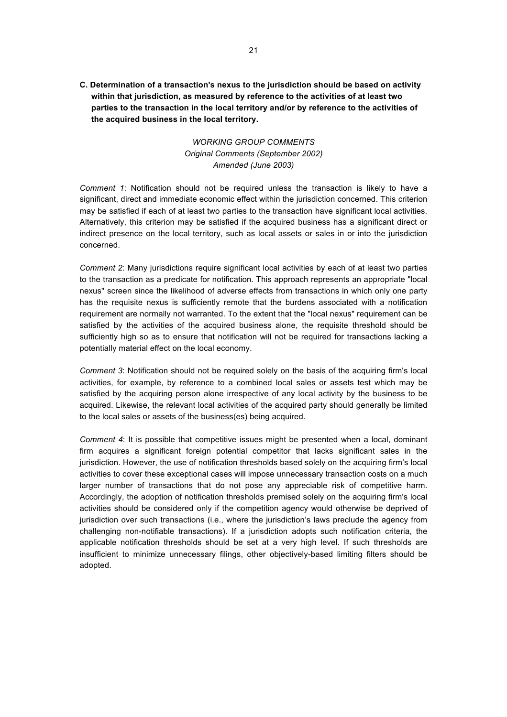**C. Determination of a transaction's nexus to the jurisdiction should be based on activity within that jurisdiction, as measured by reference to the activities of at least two parties to the transaction in the local territory and/or by reference to the activities of the acquired business in the local territory.** 

> *WORKING GROUP COMMENTS Original Comments (September 2002) Amended (June 2003)*

*Comment 1*: Notification should not be required unless the transaction is likely to have a significant, direct and immediate economic effect within the jurisdiction concerned. This criterion may be satisfied if each of at least two parties to the transaction have significant local activities. Alternatively, this criterion may be satisfied if the acquired business has a significant direct or indirect presence on the local territory, such as local assets or sales in or into the jurisdiction concerned.

*Comment 2*: Many jurisdictions require significant local activities by each of at least two parties to the transaction as a predicate for notification. This approach represents an appropriate "local nexus" screen since the likelihood of adverse effects from transactions in which only one party has the requisite nexus is sufficiently remote that the burdens associated with a notification requirement are normally not warranted. To the extent that the "local nexus" requirement can be satisfied by the activities of the acquired business alone, the requisite threshold should be sufficiently high so as to ensure that notification will not be required for transactions lacking a potentially material effect on the local economy.

*Comment 3*: Notification should not be required solely on the basis of the acquiring firm's local activities, for example, by reference to a combined local sales or assets test which may be satisfied by the acquiring person alone irrespective of any local activity by the business to be acquired. Likewise, the relevant local activities of the acquired party should generally be limited to the local sales or assets of the business(es) being acquired.

*Comment 4*: It is possible that competitive issues might be presented when a local, dominant firm acquires a significant foreign potential competitor that lacks significant sales in the jurisdiction. However, the use of notification thresholds based solely on the acquiring firm's local activities to cover these exceptional cases will impose unnecessary transaction costs on a much larger number of transactions that do not pose any appreciable risk of competitive harm. Accordingly, the adoption of notification thresholds premised solely on the acquiring firm's local activities should be considered only if the competition agency would otherwise be deprived of jurisdiction over such transactions (i.e., where the jurisdiction's laws preclude the agency from challenging non-notifiable transactions). If a jurisdiction adopts such notification criteria, the applicable notification thresholds should be set at a very high level. If such thresholds are insufficient to minimize unnecessary filings, other objectively-based limiting filters should be adopted.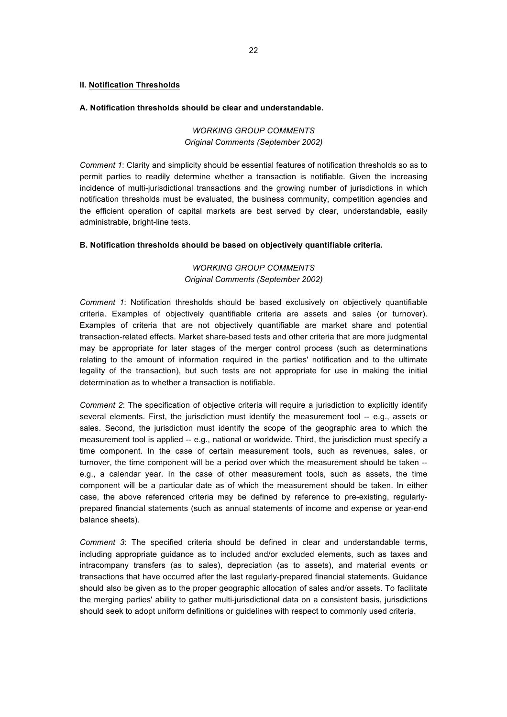### **II. Notification Thresholds**

### **A. Notification thresholds should be clear and understandable.**

### *WORKING GROUP COMMENTS Original Comments (September 2002)*

*Comment 1*: Clarity and simplicity should be essential features of notification thresholds so as to permit parties to readily determine whether a transaction is notifiable. Given the increasing incidence of multi-jurisdictional transactions and the growing number of jurisdictions in which notification thresholds must be evaluated, the business community, competition agencies and the efficient operation of capital markets are best served by clear, understandable, easily administrable, bright-line tests.

### **B. Notification thresholds should be based on objectively quantifiable criteria.**

### *WORKING GROUP COMMENTS Original Comments (September 2002)*

*Comment 1*: Notification thresholds should be based exclusively on objectively quantifiable criteria. Examples of objectively quantifiable criteria are assets and sales (or turnover). Examples of criteria that are not objectively quantifiable are market share and potential transaction-related effects. Market share-based tests and other criteria that are more judgmental may be appropriate for later stages of the merger control process (such as determinations relating to the amount of information required in the parties' notification and to the ultimate legality of the transaction), but such tests are not appropriate for use in making the initial determination as to whether a transaction is notifiable.

*Comment 2*: The specification of objective criteria will require a jurisdiction to explicitly identify several elements. First, the jurisdiction must identify the measurement tool -- e.g., assets or sales. Second, the jurisdiction must identify the scope of the geographic area to which the measurement tool is applied -- e.g., national or worldwide. Third, the jurisdiction must specify a time component. In the case of certain measurement tools, such as revenues, sales, or turnover, the time component will be a period over which the measurement should be taken - e.g., a calendar year. In the case of other measurement tools, such as assets, the time component will be a particular date as of which the measurement should be taken. In either case, the above referenced criteria may be defined by reference to pre-existing, regularlyprepared financial statements (such as annual statements of income and expense or year-end balance sheets).

*Comment 3*: The specified criteria should be defined in clear and understandable terms, including appropriate guidance as to included and/or excluded elements, such as taxes and intracompany transfers (as to sales), depreciation (as to assets), and material events or transactions that have occurred after the last regularly-prepared financial statements. Guidance should also be given as to the proper geographic allocation of sales and/or assets. To facilitate the merging parties' ability to gather multi-jurisdictional data on a consistent basis, jurisdictions should seek to adopt uniform definitions or guidelines with respect to commonly used criteria.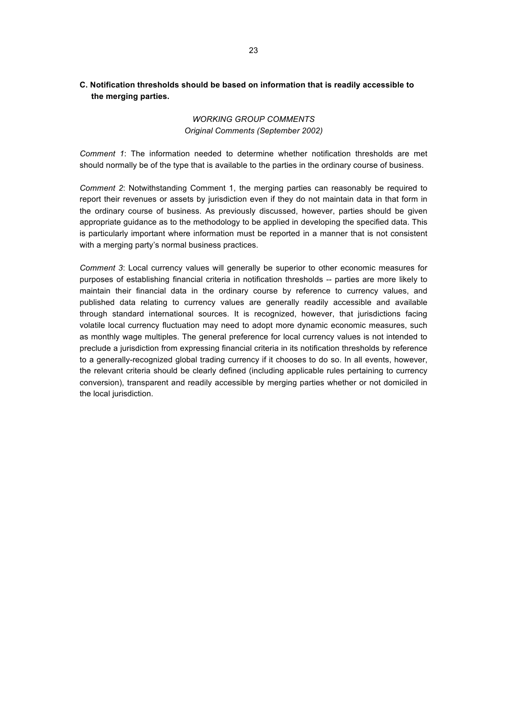### **C. Notification thresholds should be based on information that is readily accessible to the merging parties.**

### *WORKING GROUP COMMENTS Original Comments (September 2002)*

*Comment 1*: The information needed to determine whether notification thresholds are met should normally be of the type that is available to the parties in the ordinary course of business.

*Comment 2*: Notwithstanding Comment 1, the merging parties can reasonably be required to report their revenues or assets by jurisdiction even if they do not maintain data in that form in the ordinary course of business. As previously discussed, however, parties should be given appropriate guidance as to the methodology to be applied in developing the specified data. This is particularly important where information must be reported in a manner that is not consistent with a merging party's normal business practices.

*Comment 3*: Local currency values will generally be superior to other economic measures for purposes of establishing financial criteria in notification thresholds -- parties are more likely to maintain their financial data in the ordinary course by reference to currency values, and published data relating to currency values are generally readily accessible and available through standard international sources. It is recognized, however, that jurisdictions facing volatile local currency fluctuation may need to adopt more dynamic economic measures, such as monthly wage multiples. The general preference for local currency values is not intended to preclude a jurisdiction from expressing financial criteria in its notification thresholds by reference to a generally-recognized global trading currency if it chooses to do so. In all events, however, the relevant criteria should be clearly defined (including applicable rules pertaining to currency conversion), transparent and readily accessible by merging parties whether or not domiciled in the local jurisdiction.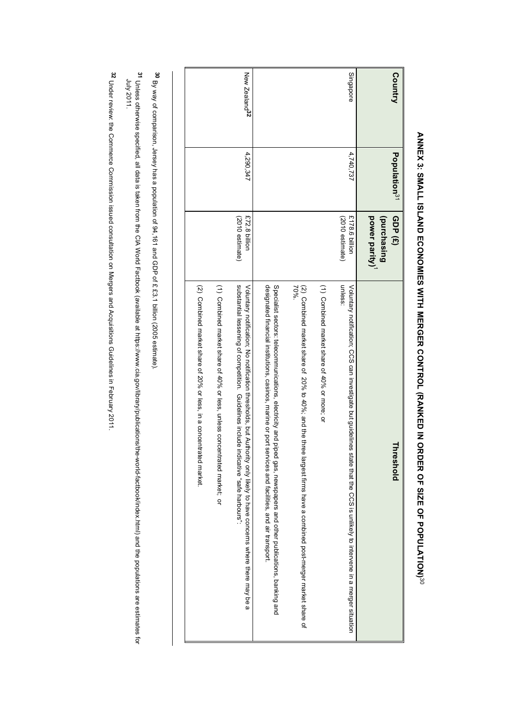| Country                   | Population <sup>31</sup> | power parity)<br>(purchasing<br>GDP (£)     | hreshold                                                                                                                                                                                                                                     |
|---------------------------|--------------------------|---------------------------------------------|----------------------------------------------------------------------------------------------------------------------------------------------------------------------------------------------------------------------------------------------|
| Singapore                 | 4,740,737                | £178.6 billion<br>$(2010 \text{ estimate})$ | unless:<br>Voluntary notification; CCS can investigate but guidelines state that the CCS is unlikely to intervene in a merger situation                                                                                                      |
|                           |                          |                                             | (1) Combined market share of 40% or more; or                                                                                                                                                                                                 |
|                           |                          |                                             | 70%.<br>(2) Compined market share of 20% to 40%; and the entities have a conditional post-merget intered in the factor of 20% to 40% to 40%.                                                                                                 |
|                           |                          |                                             | Specialist sectors: telecommunications, electricity and piped gas, newspapers and other publications, banking and<br>designated financial institutions, casinos, marine or port<br>services and facilities, and air transport.               |
| New Zealand <sup>32</sup> | 4,290,347                | £72.8 billion<br>$(2010$ estimate)          | substantial lessening of competition. Guidelines include indicative "safe harbours":<br>yournary verence there there as the conservation of thing your sectional state of the section of the state of the section of the section of $\alpha$ |
|                           |                          |                                             | (1) Combined market share of 40% or less, unless concentrated market; or                                                                                                                                                                     |
|                           |                          |                                             | (2) Combined market share of 20% or less, in a concer-<br>trated market.                                                                                                                                                                     |

# **ANNEX 3: SMALL ISLAND ECONOMIES WITH MERGER CONTROL (RANKED IN ORDER OF SIZE OF POPULATION)ANNEX 3: SMALL ISLAND ECONOMIES WITH MERGER CONTROL (RANKED IN ORDER OF SIZE OF POPULATION)<sup>30</sup>**

30 By way of comparison, Jersey has a population of 94,161 and GDP of £ £3.1 billion (2005 estimate). By way of comparison, Jersey has a population of 94,161 and GDP of £ £3.1 billion (2005 estimate).

<u>مب</u>  $\Gamma$  is taken from the DD and the DD and the CIA World Factbook (available at https://www.cia.gov/library/publications/the-world-factbook/index.html) and the DD and the Publications in the populations are estimates for th July 2011.

<sup>32</sup> Under review: the Commerce Commission issued consultation on Mergers and Acquisitions Guidelines in February 2011. Under review: the Commerce Commission issued consultation on Mergers and Acquisitions Guidelines in February 2011.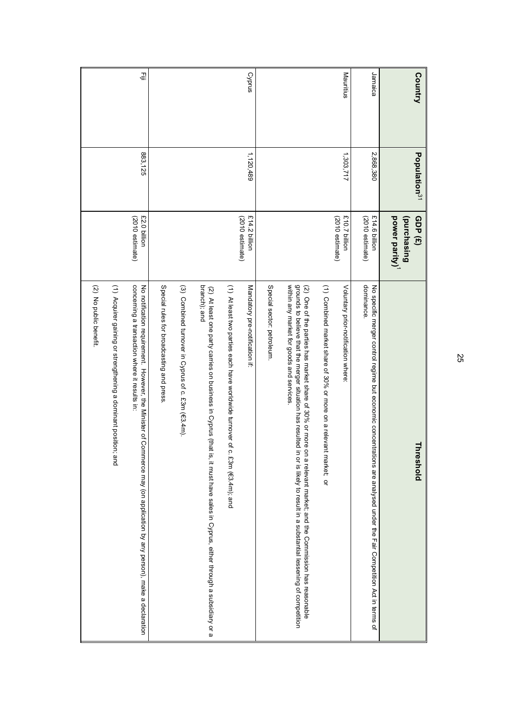| Country   | Population <sup>31</sup> | GDP (£)                                   | 긐<br>reshold                                                                                                                                                                                                                                                                                      |
|-----------|--------------------------|-------------------------------------------|---------------------------------------------------------------------------------------------------------------------------------------------------------------------------------------------------------------------------------------------------------------------------------------------------|
|           |                          | power parity) <sup>1</sup><br>(purchasing |                                                                                                                                                                                                                                                                                                   |
| Jamaica   | 2,868,380                | £14.6 billion<br>$(2010$ estimate)        | dominance.<br>No specific merger control regime but economic concentrations are analysed under the Fair Competition Act in terms of                                                                                                                                                               |
| Mauritius | 1,303,717                | £10.7 billion<br>(2010 estimate)          | Voluntary prior-notification where                                                                                                                                                                                                                                                                |
|           |                          |                                           | (1) Combined market share of 30% or more on a relevant market; or                                                                                                                                                                                                                                 |
|           |                          |                                           | within any market for goods and services<br>grounds to believe that the merger situation has resulted<br>(2) One of the parties has market share of 30% or more<br>in or is likely to result in a substantial lessening of competition<br>on a relevant market; and the Commission has reasonable |
|           |                          |                                           | Special sector: petroleum                                                                                                                                                                                                                                                                         |
| Cyprus    | 1,120,489                | £14.2 billion<br>(2010 estimate)          | Mandatory pre-notification if:                                                                                                                                                                                                                                                                    |
|           |                          |                                           | (1) At least two parties each have worldwide turnover of<br>c. £3m (€3.4m); and                                                                                                                                                                                                                   |
|           |                          |                                           | branch); and<br>(2) At least one party carries on business in Cyprus (that<br>is, it must have sales in Cyprus, either through a subsidiary or a                                                                                                                                                  |
|           |                          |                                           | (3) Combined turnover in Cyprus of c. £3m (€3.4m).                                                                                                                                                                                                                                                |
|           |                          |                                           | Special rules for broadcasting and press                                                                                                                                                                                                                                                          |
| 콬         | 883,125                  | £2.0 billion<br>(2010 estimate)           | concerning a transaction where it results in:<br>No notification requirement. However, the Minister of Commerce may (on application by any person), make a declaration                                                                                                                            |
|           |                          |                                           | (1) Acquirer gaining or strengthening a dominant position; and                                                                                                                                                                                                                                    |
|           |                          |                                           | (2) No public benefit.                                                                                                                                                                                                                                                                            |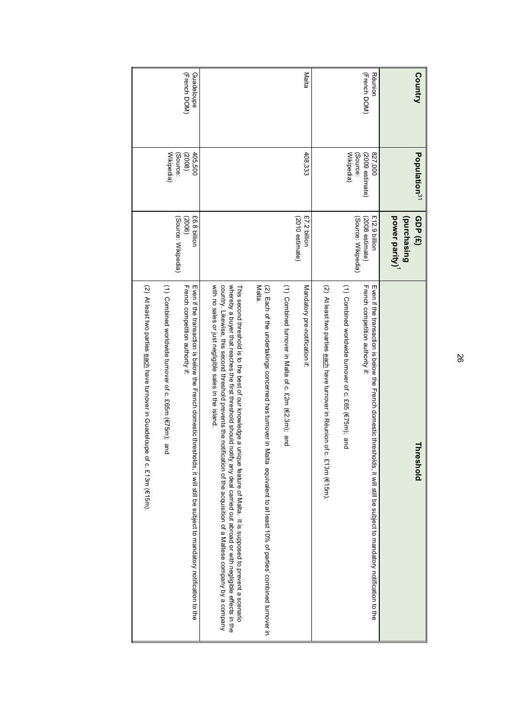| <b>Country</b>             | Population <sup>31</sup>               | GDP (£)                                                   | Threshold                                                                                                                                                                                                                                                                                                                                                                                                                                                                                                                                                 |
|----------------------------|----------------------------------------|-----------------------------------------------------------|-----------------------------------------------------------------------------------------------------------------------------------------------------------------------------------------------------------------------------------------------------------------------------------------------------------------------------------------------------------------------------------------------------------------------------------------------------------------------------------------------------------------------------------------------------------|
|                            |                                        | power parity)<br>(purchasing                              |                                                                                                                                                                                                                                                                                                                                                                                                                                                                                                                                                           |
| (French DOM)<br>Réunion    | 000'Z38<br>(2009 estimate)<br>(Source: | £12.9 billion<br>$(2008$ estimate)<br>(Source: Wikipedia) | French competition authority if:<br>Even if the transaction is below the French domestic thresholds, if will still be subject to mandatory notification to the                                                                                                                                                                                                                                                                                                                                                                                            |
|                            | Wikipedia)                             |                                                           | (1) Combined worldwide turnover of c. £65 (€75m); and                                                                                                                                                                                                                                                                                                                                                                                                                                                                                                     |
|                            |                                        |                                                           | (2) At least two parties each have turnover in Réunion of<br>c. £13m (€15m).                                                                                                                                                                                                                                                                                                                                                                                                                                                                              |
| Malta                      | 408,333                                | £7.2 billion<br>(2010 estimate)                           | Mandatory pre-notification if:                                                                                                                                                                                                                                                                                                                                                                                                                                                                                                                            |
|                            |                                        |                                                           | (1) Combined turnover in Malta of c. £2m (€2.3m); and                                                                                                                                                                                                                                                                                                                                                                                                                                                                                                     |
|                            |                                        |                                                           | Malta.<br>(2) Each of the undertakings concerned has tumover in<br>Valta equivalent to at least 10% of parties' combined turnover in                                                                                                                                                                                                                                                                                                                                                                                                                      |
|                            |                                        |                                                           | with no sales or just negligible sales in the island<br>country. Likewise, this second threshold prevents the notification of the acquisition of a Maltese company by a company<br>whereby a buyer that reaches the first threshold shood causing of the shop deal causing out aboved or with negligible effects in the<br>This sebard thread to best operations it is significated of Manusian of Manus in the set of the best operation is so that of the sequence to be the proced to be sequence to be sequence to be sequence to be sequence to be s |
| (French DOM)<br>Guadeloupe | 405,500<br>(Source:<br>(2008)          | £6.8 billion<br>(Source: Wikipedia)<br>(2006)             | French competition authority if:<br>Even if the transaction is below the French domestic thresholds, if will still be subject to mandatory notification to the                                                                                                                                                                                                                                                                                                                                                                                            |
|                            | Wikipedia)                             |                                                           | (1) Combined worldwide turnover of c. £65m (€75m); and                                                                                                                                                                                                                                                                                                                                                                                                                                                                                                    |
|                            |                                        |                                                           | (2) At least two parties each have turnover in Guadeloupe of c. £13m (€15m).                                                                                                                                                                                                                                                                                                                                                                                                                                                                              |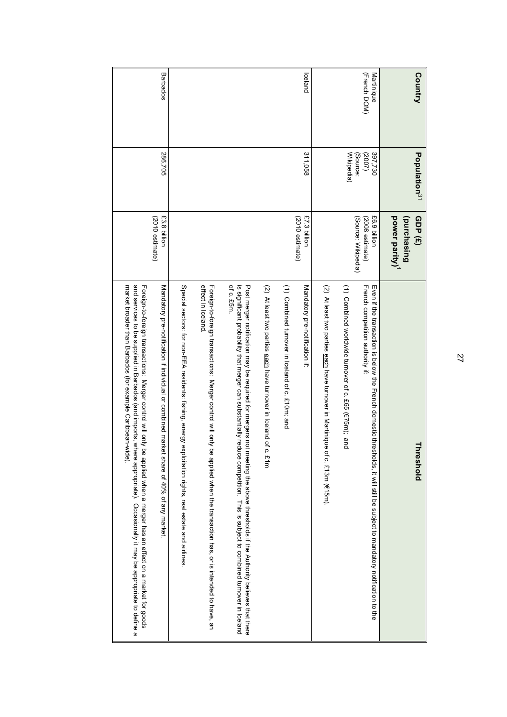| and services to be supplied in Barbados (and imports, where appropriate). Occasionally it may be appropriate to define a<br>market broader than Barbados (for example Caribbean-wide).<br>Foreign-to-foreign transactions: Merger control will only be applied when a merger has an effect on a market for goods | (2010 estimate)                                        |                               |                            |
|------------------------------------------------------------------------------------------------------------------------------------------------------------------------------------------------------------------------------------------------------------------------------------------------------------------|--------------------------------------------------------|-------------------------------|----------------------------|
| Mandatory pre-notification if individual or combined market share of 40% of any market                                                                                                                                                                                                                           | £3.8 billion                                           | 286,705                       | Barbados                   |
| Special sectors: for non-EEA residents: fishing, energy exploitation rights, real estate and airlines.                                                                                                                                                                                                           |                                                        |                               |                            |
| effect in Iceland<br>Foreign transactions: Merger control will be then the then the then the transaction has, or is interphed to have, an                                                                                                                                                                        |                                                        |                               |                            |
| of c. £5m.<br>is significant probability that merger can substantially reduce competition. This is subject to combined turnover in Iceland<br>Post merger notification may be required for mergers not meeting the above thresholds if the Authority believes that there                                         |                                                        |                               |                            |
| (2) At least two parties each have turnover in Iceland of c. £1m                                                                                                                                                                                                                                                 |                                                        |                               |                            |
| (1) Combined turnover in lceland of c. £10m; and                                                                                                                                                                                                                                                                 |                                                        |                               |                            |
| Mandatory pre-notification if:                                                                                                                                                                                                                                                                                   | £7.3 billion<br>(2010 estimate)                        | 311,058                       | lceland                    |
| (2) At least two parties each have turnover in Martinique<br>of c. £13m (€15m).                                                                                                                                                                                                                                  |                                                        |                               |                            |
| (1) Combined worldwide turnover of c. £65 (€75m); and                                                                                                                                                                                                                                                            |                                                        | Wikipedia)                    |                            |
| mven if the transaction is below the French domestic thresholds, if will still be subject to mandatory notification to the<br>French competition authority if:                                                                                                                                                   | £6.9 billion<br>(Source: Wikipedia)<br>(2008 estimate) | 397,730<br>(Source:<br>(2002) | (French DOM)<br>Martinique |
| reshold                                                                                                                                                                                                                                                                                                          | (purchasing<br>power parity)<br>GDP (£)                | Population <sup>31</sup>      | Country                    |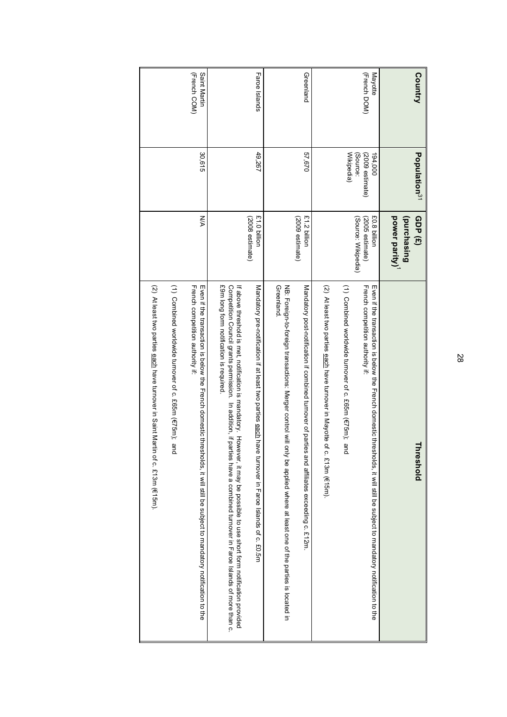| <b>Country</b>               | Population <sup>31</sup>               | GDP (£)                                                | holdshold                                                                                                                                                                                                                                                                                                                         |
|------------------------------|----------------------------------------|--------------------------------------------------------|-----------------------------------------------------------------------------------------------------------------------------------------------------------------------------------------------------------------------------------------------------------------------------------------------------------------------------------|
|                              |                                        | power parity) <sup>1</sup><br>(purchasing              |                                                                                                                                                                                                                                                                                                                                   |
| (French DOM)<br>Mayotte      | (2009 estimate)<br>(Source:<br>194,000 | £0.8 billion<br>(Source: Wikipedia)<br>(2005 estimate) | French competition authority if:<br>Even it the transaction is below the French domestic threase is it will still be subject to mandatory notification to the                                                                                                                                                                     |
|                              | Wikipedia)                             |                                                        | (1) Combined worldwide turnover of c. £65m (€75m); and                                                                                                                                                                                                                                                                            |
|                              |                                        |                                                        | (2) At least two parties each have turnover in Mayotte of<br>c. £13m (€15m).                                                                                                                                                                                                                                                      |
| Greenland                    | 57,670                                 | £1.2 billion<br>(2009 estimate)                        | Mandatory post-notification if combined turnover of parties and affiliates exceeding c. £12m.                                                                                                                                                                                                                                     |
|                              |                                        |                                                        | Greenland.<br>NB: Foreign-to-foreign transactions: Merger control will only be applied where at least one of the parties is located in                                                                                                                                                                                            |
| Faroe Islands                | 49,267                                 | <b>F1.0 billion</b><br>(2008 estimate)                 | Mandatory pre-notification if at the ast the state shall have use that the state is lands of c. £0.6m                                                                                                                                                                                                                             |
|                              |                                        |                                                        | £9m long form notification is required<br>Competition Council grants permission. In addition, if parties have a combined turnover in Faroe Islands of more than c.<br>if aboviduation consident critical corresponsive to a serial state of the section is a second torm of the section consideration and the section is abovided |
| Saint Martin<br>(French COM) | 30,615                                 | УŇ                                                     | French competition authority if:<br>Even if the transducion is below the French domestic triesholds, it will still be subject to mandatory notification to the                                                                                                                                                                    |
|                              |                                        |                                                        | (1) Combined worldwide turnover of c. £65m (€75m);<br>டி<br>ದ                                                                                                                                                                                                                                                                     |
|                              |                                        |                                                        | (2) At least two parties each have turnover in Saint Martin of c. £13m (€15m).                                                                                                                                                                                                                                                    |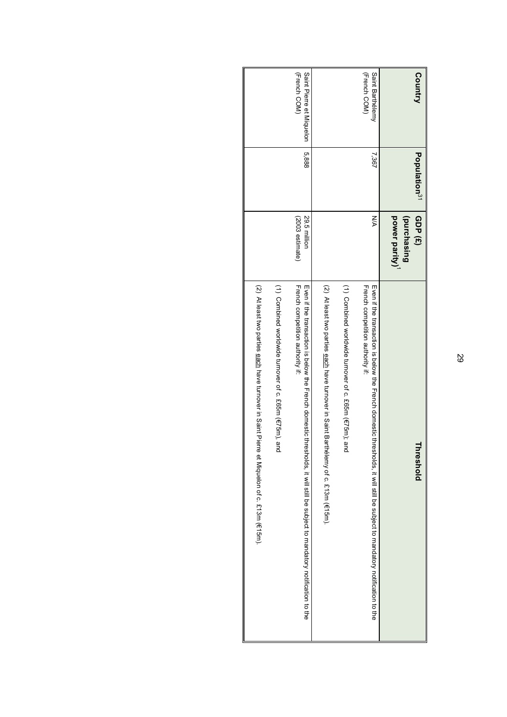| Country                                  | Population <sup>31</sup> | GDP (£)<br>power parity)<br>(purchasing | hreshold                                                                                                                                                       |
|------------------------------------------|--------------------------|-----------------------------------------|----------------------------------------------------------------------------------------------------------------------------------------------------------------|
| (French COM)<br>Saint Barthélemy         | 7,367                    | NA                                      | French competition authority if:<br>mven it the transaction is below the French domestic thresholds, it will be subject to mandatory notification to the       |
|                                          |                          |                                         | (1) Combined worldwide turnover of c. £65m (E75m)                                                                                                              |
|                                          |                          |                                         | (2) At least two parties each have turnover in Saint Barthélemy of c. £13m (€15m).                                                                             |
| (French COM)<br>Saint Pierre et Miquelon | 5,888                    | (2003 estimate)<br>29.5 million         | French competition authority if:<br>mven if the transaction is below the French domestic threabolds, if will still be subject to mandatory notification to the |
|                                          |                          |                                         | (1) Combined worldwide turnover of c. £65m (€75m), and                                                                                                         |
|                                          |                          |                                         | (2) The ast the particle and parallel and the control of the parallel of controlled the state of $(2)$                                                         |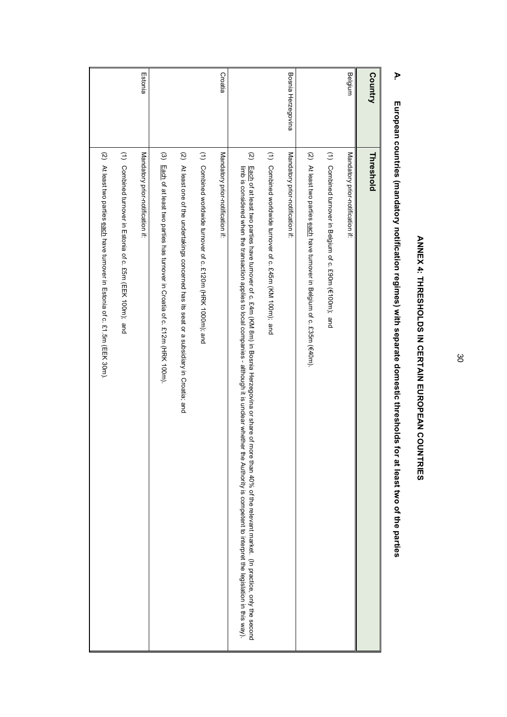| Country            | Threshold                                                                                                                                                                                                                                                                                                                                                             |
|--------------------|-----------------------------------------------------------------------------------------------------------------------------------------------------------------------------------------------------------------------------------------------------------------------------------------------------------------------------------------------------------------------|
| Belgium            | Mandatory prior-notification if:                                                                                                                                                                                                                                                                                                                                      |
|                    | (1) Combined turnover in Belgium of c. £90m (€100m); and                                                                                                                                                                                                                                                                                                              |
|                    | (2) At least two parties each have turnover in Belgium of c. £35m (€40m).                                                                                                                                                                                                                                                                                             |
| Bosnia Herzegovina | Mandatory prior-notification if:                                                                                                                                                                                                                                                                                                                                      |
|                    | (1) Combined worldwide turnover of c. £45m (KM 100m); and                                                                                                                                                                                                                                                                                                             |
|                    | $\widetilde{\mathcal{Q}}$<br>Each of at least two parties have turnover of c. £4m (he see the proper of the the compulsion and 40% of the relevant market. (In practice, only the second<br>limb is considered when the transaction applies to local companies - although it is unclear whether the Authority is competent to interpret the legislation in this way). |
| Croatia            | Mandatory prior-notification if:                                                                                                                                                                                                                                                                                                                                      |
|                    | (1) Combined worldwide tumover of c. £120m (HRK 1000m); and                                                                                                                                                                                                                                                                                                           |
|                    | (2) At least one of the undertakings concerned has its seat or a subsidiary in Croatia; and                                                                                                                                                                                                                                                                           |
|                    | (3) Each of at least two parties has turnover in Croatia of c. £12m (HRK 100m).                                                                                                                                                                                                                                                                                       |
| Estonia            | Mandatory prior-notification if:                                                                                                                                                                                                                                                                                                                                      |
|                    | (1) Compinent truncer in Estonia of c. £55m (EEK 100m); and                                                                                                                                                                                                                                                                                                           |
|                    | (2) At least two parties each have tumover in Estonia of c. £1.5m (EEK 30m).                                                                                                                                                                                                                                                                                          |

# ANNEX 4: THRESHOLDS IN CERTAIN EUROPEAN COUNTRIES **ANNEX 4: THRESHOLDS IN CERTAIN EUROPEAN COUNTRIES**

# **A.** European countries (mandatory notification regimes) with separate domestic thresholds for at least two of the parties **European countries (mandatory notification regimes) with separate domestic thresholds for at least two of the parties**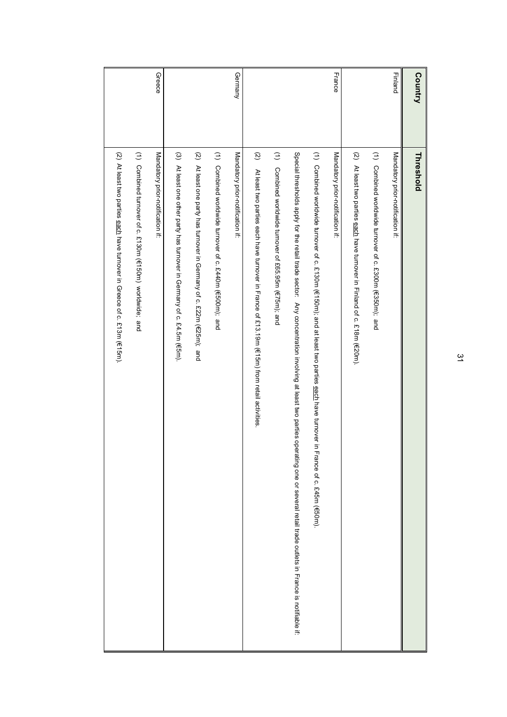| Country       | Threshold                                                                                                                                                                        |
|---------------|----------------------------------------------------------------------------------------------------------------------------------------------------------------------------------|
| Finland       | Mandatory prior-notification if:                                                                                                                                                 |
|               | (1) Combined worldwide turnover of c. £300m (€350m); and                                                                                                                         |
|               | (2) At least two parties each have turnover in Finland of c. £18m (€20m).                                                                                                        |
| France        | Mandatory prior-notification if:                                                                                                                                                 |
|               | (1) Combined worldwide turnover of c. £130m (€150m); and at least two parties each have turnover in<br>France of c. £45m (€50m).                                                 |
|               | Special thresholds apply for the retail trade sector: Any concentration involving at least two parties operating one or several retail trade outlets in France is notfirable if. |
|               | (1) Combined wordwide turnover of £65.95m (€75m); and                                                                                                                            |
|               | $\widetilde{\omega}$<br>At least two parties e achr have trimover in Trance of 2.131.19m (f(5), 19m) from retail a crivities                                                     |
| Germany       | Mandatory prior-notification if:                                                                                                                                                 |
|               | (1) Combined worldwide turnover of c. £440m (€500m); and                                                                                                                         |
|               | $\widetilde{\omega}$<br>At least one party has turnover in Germany of c. £22m (€25m); and                                                                                        |
|               | $\odot$<br>At least one other party has turnover in Germany of c. £4.5m (€5m).                                                                                                   |
| <b>Greece</b> | Mandatory prior-notification if:                                                                                                                                                 |
|               | (1) Combined turnover of c. £130m (€150m) worldwide; and                                                                                                                         |
|               | (2) At least two parties each have turnover in Greece of c. £13m (€15m).                                                                                                         |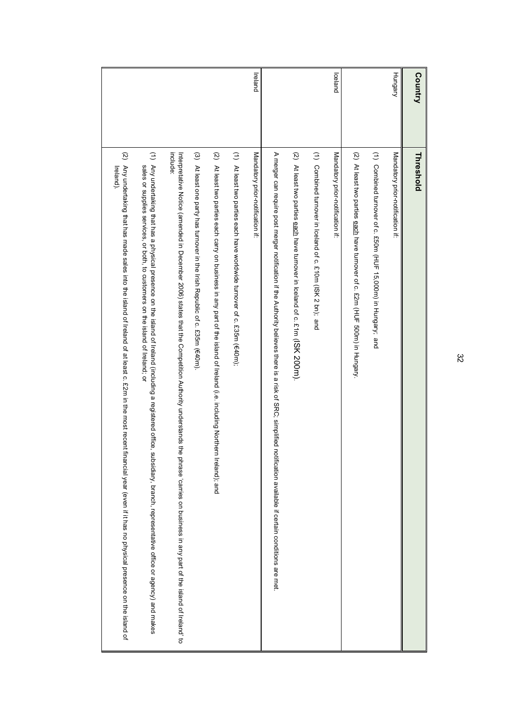| Country | Threshold                                                                                                                                                                                                                                                    |
|---------|--------------------------------------------------------------------------------------------------------------------------------------------------------------------------------------------------------------------------------------------------------------|
| Hungary | Mandatory prior-notification if:                                                                                                                                                                                                                             |
|         | (1) Combined turnover of c. £50m (HUF 15,000m) in Hungany; and                                                                                                                                                                                               |
|         | (2) At least two parties each have turnover of c. £2m (HUF 500m) in Hungary                                                                                                                                                                                  |
| lceland | Mandatory prior-notification if:                                                                                                                                                                                                                             |
|         | (1) Combined turnover in lceland of c. £10m (ISK 2 bn); and                                                                                                                                                                                                  |
|         | (2) At least two parties each have turnover in lceland of c. £1m (ISK 200m).                                                                                                                                                                                 |
|         | A merger can require post merger notification if the Authority believes there is a risk of SRC; simplified<br>notification available if certain conditions are met.                                                                                          |
| Ireland | Mandatory prior-notification if.                                                                                                                                                                                                                             |
|         | $\widehat{z}$<br>At least two parties each have worldwide turnover of c. £35m (€40m);                                                                                                                                                                        |
|         | (2) At least two parties each carry on business in any part of the island of Ireland (i.e. including Northern Ireland); and                                                                                                                                  |
|         | (3) At least one party has turnover in the Irish Republic of c. £35m (€40m).                                                                                                                                                                                 |
|         | include:<br>Interpretative Notice (amended in December 2006) states that the Competition Authority understands the phrase 'carries on business in any part of the island' to                                                                                 |
|         | (1) Any undertaking that has a physical presence on the island of Ireland (including a registered office<br>sales or supplies services, or both, to customers on the island of Ireland; or<br>subsidiary, branch, representative office or agency) and makes |
|         | $\widetilde{\mathcal{Q}}$<br>Any undertaking that has made sales into the island of Ireland of at least c. £2m in the most recent<br>Ireland)<br>financial year (even if it has no physical presence on the island of                                        |
|         |                                                                                                                                                                                                                                                              |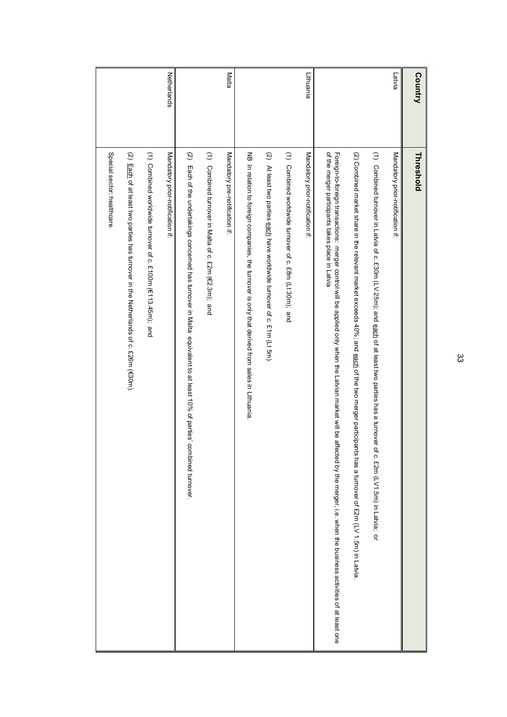| Country     | Threshold                                                                                                                                                                                                                       |
|-------------|---------------------------------------------------------------------------------------------------------------------------------------------------------------------------------------------------------------------------------|
| Latvia      | Mandatory prior-notification if:                                                                                                                                                                                                |
|             | (1) Combined turnover in Latvia of c. £30m (LV 25m); and <u>each</u> of at least two parties has a turnover of c. £2m (LV1.5m) in Latvia; or                                                                                    |
|             | (2) Combined market share in the relevant market exceeds 40%; and each of the two merger participants has a turnover of £2m (LV 1.5m) in Latvia                                                                                 |
|             | of the merger participants takes place in Latvia<br>Foreign-toreign transactions: merger control will be applied only when the Latvian market will be affected by the merger, i.e. when the business activities of at least one |
| Lithuania   | Mandatory prior-notification if.                                                                                                                                                                                                |
|             | $\hat{z}$<br>Combined worldwide turnover of c. £8m (Lt 30m); and                                                                                                                                                                |
|             | $\widetilde{\omega}$<br>At least two parties each have worldwide turnover of c. £1m (Lt 5m).                                                                                                                                    |
|             | NB In relation to foreign companies, the turnover is only that derived from sales in Lithuania.                                                                                                                                 |
| Malta       | Mandatory pre-notification if                                                                                                                                                                                                   |
|             | (1) Combined turnover in Malta of c. £2m (€2.3m); and                                                                                                                                                                           |
|             | $\widetilde{\mathcal{Q}}$<br>Each of the undertakings concerned has turnover in Malta equivalent to at least 10% of parties' combined turnover.                                                                                 |
| Netherlands | Mandatory prior-notification if.                                                                                                                                                                                                |
|             | (1) Combined worldwide turnover of c. £100m (€113.45m); and                                                                                                                                                                     |
|             | (2) Each of at least two parties has turnover in the Netherlands of c. £26m (€30m).                                                                                                                                             |
|             | Special sector: healthcare                                                                                                                                                                                                      |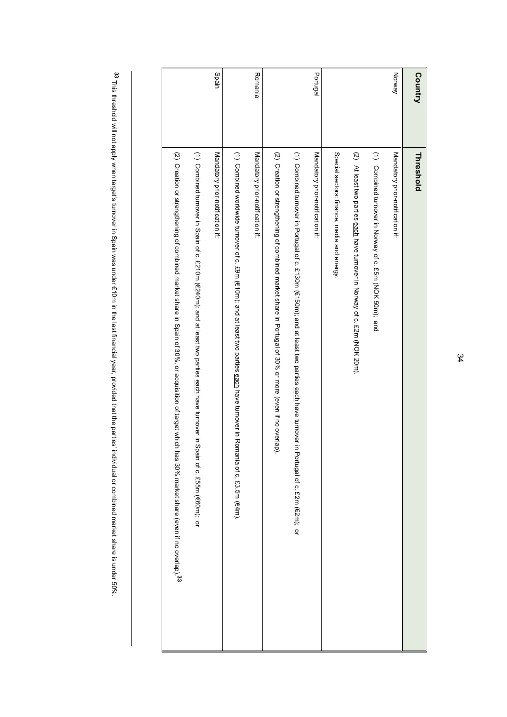| Country  | Threshold                                                                                                                                                           |
|----------|---------------------------------------------------------------------------------------------------------------------------------------------------------------------|
| Norway   | Mandatory prior-notification if:                                                                                                                                    |
|          | (1) Combined turnover in Norway of c. £55m (NOK 50m); and                                                                                                           |
|          | (2) At least two parties each have turnover in Norway of c. £2m (NOK 20m).                                                                                          |
|          | Special sectors: finance, media and energy.                                                                                                                         |
| Portugal | Mandatory prior-notification if:                                                                                                                                    |
|          | (1) Combined turnover in Portugal of c. £130m (€150m); and at least two parties eadh have turnover in Portugal of c. £2m (€2m); or                                  |
|          | (2) Creation or strumptle procedured procedure in the state share is that the product of the procedure of the procedure of $(2)$                                    |
| Romania  | Mandatory prior-notification if:                                                                                                                                    |
|          | (1) Compined worldwide trimover of to the G form of the data to particle particle sequence for produced for the compilation of $\Gamma$<br>nania of c. £3.5m (€4m). |
| Spain    | Mandatory prior-notification if:                                                                                                                                    |
|          | (1) Ocupristra definition of C. 3.2 DH (42403), and at east axo parties eagly have termover in your communition (1) Compristed that of C. 3.3 DH                    |
|          | (2) Creation or strengthening of combined market share in Spain of 30%, or acquisition of target which has 30% market share (even if no overlap). <sup>33</sup>     |

33 This threshold will not apply when target's turnover in Spain was under €10m in the last financial year, provided that the parties' individual or combined market share is under 50%. This threshold will not apply when target's turnover in Spain was under  $\epsilon$ 10m in the last financial year, provided that the parties' individual or combined market share is under 50%.

34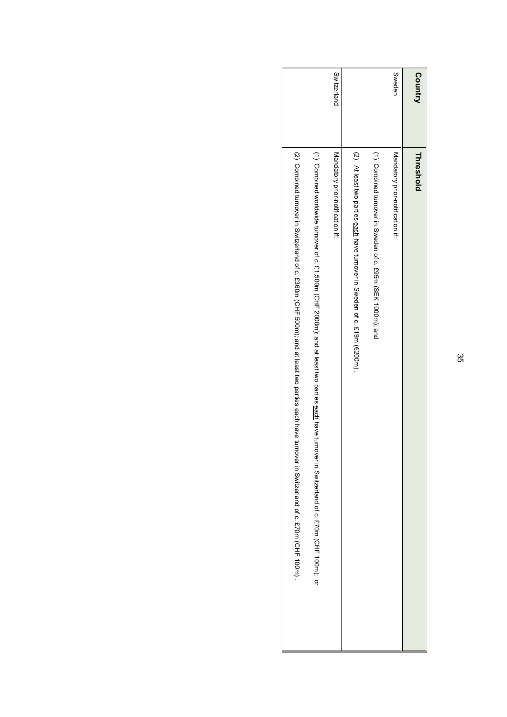| Country     | Threshold                                                                                                                                         |
|-------------|---------------------------------------------------------------------------------------------------------------------------------------------------|
| Sweden      | Mandatory prior-notification if:                                                                                                                  |
|             | (1) Combined turnover in Wweden of c. ft95m (SEK 1000m); and                                                                                      |
|             | (2) At least two paties early have trinover in Sweden of c. t. 19m (€2001).                                                                       |
| Switzerland | Mandatory prior-notification if:                                                                                                                  |
|             | (1) Combined worldwide turnover of c. £1,500m (CHF 2000m), and at least two parties each have turnover in Switzerland of c. £70m (CHF 100m); or   |
|             | (2) Ocuprine d trunover in Decidation of c. b.360m (CHF 500m), and at least two partise sequented trunover in Switzerland of c. ft70m (CHF 100m). |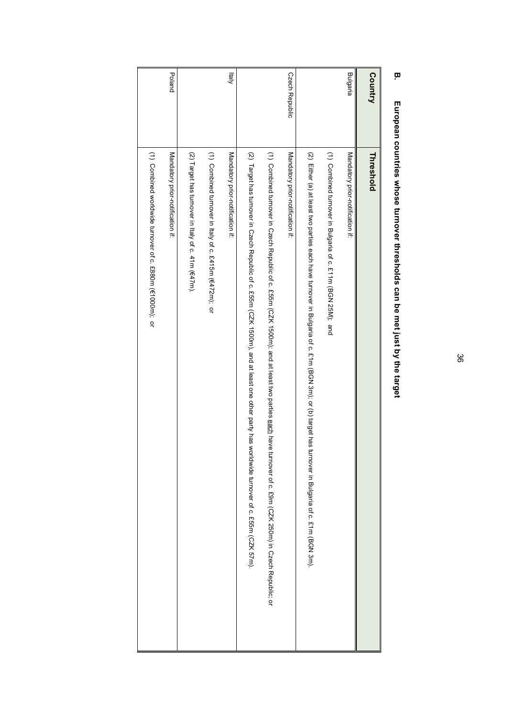| <b>Country</b>        | Threshold                                                                                                                                                                                                                      |
|-----------------------|--------------------------------------------------------------------------------------------------------------------------------------------------------------------------------------------------------------------------------|
| <b>Bulgaria</b>       | Mandatory prior-notification if:                                                                                                                                                                                               |
|                       | (1) Combined turnover in Bulgaria of c. £11m (BGN 25M); and                                                                                                                                                                    |
|                       | (2) Ether, and thas two parties each have the parabole in Doplain of (b) target that (b) target have in BGM 3 for the sect have in Buggaria of c. 2 full                                                                       |
| <b>Czech Republic</b> | Mandatory prior-notification if:                                                                                                                                                                                               |
|                       | (1) Ocanoired trunded that the procedure of CNA 1900H1) and at easer the earlies agains at the set they carried to the case for the proper proper cording in $O$ (1) Ocanoired the case of $O$ is $O$ or the capical in $O$ or |
|                       | (2) I arget has turnover in Cyech Republic of c. P.55m (CZK 1500m), and at least one other party has<br>worldwide turnover of c. ft951 (СЛК 57н).                                                                              |
| klaly                 | Mandatory prior-notification if:                                                                                                                                                                                               |
|                       | (1) Combined turnover in Italy of c. £472m(F472m);                                                                                                                                                                             |
|                       | (2) Target has turnover in Italy of c. $41m$ ( $647m$ ).                                                                                                                                                                       |
| Poland                | Mandatory prior-notification if:                                                                                                                                                                                               |
|                       | (1) Combined worldwide turnover of c. £880m (€1000m); or                                                                                                                                                                       |
|                       |                                                                                                                                                                                                                                |

# **B.** European countries whose turnover thresholds can be met just by the target **European countries whose turnover thresholds can be met just by the target**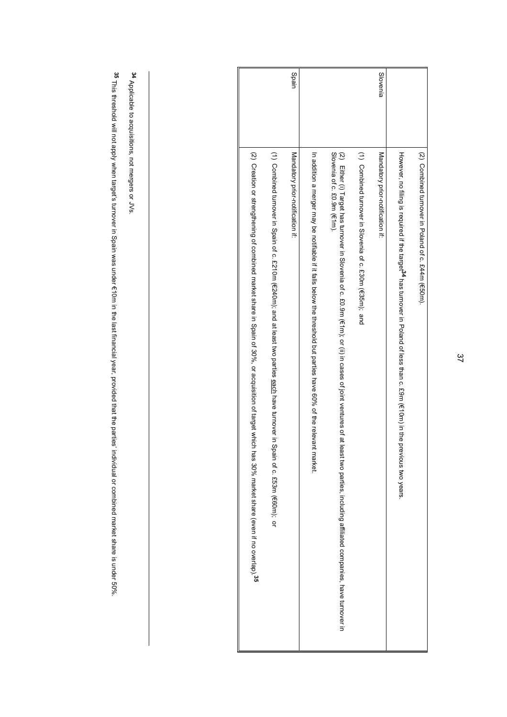|                                                                                                                                                                     |                                                                                                                               | Spain                            |                                                                                                                |                                                                                                                                                                                                                                                               |                                                          | Slovenia                         |                                                                                                                                |                                                    |
|---------------------------------------------------------------------------------------------------------------------------------------------------------------------|-------------------------------------------------------------------------------------------------------------------------------|----------------------------------|----------------------------------------------------------------------------------------------------------------|---------------------------------------------------------------------------------------------------------------------------------------------------------------------------------------------------------------------------------------------------------------|----------------------------------------------------------|----------------------------------|--------------------------------------------------------------------------------------------------------------------------------|----------------------------------------------------|
| (2) Creation or strengthening of complision of spain et in Spain of 30%, or acquisition of target which<br>has 30% market share (even if no overlap). <sup>35</sup> | (1) Combined turnover in Spain of c.2210m (6240m); and at least two parties each have turnover in Spain of c. £53m (€60m); or | Mandatory prior-notification if: | In addition a merger may be notifiable if alls pelow the threshold burbarties have 60% of the nelevant market. | Slovenia of c. £0.9m (€1m).<br>(2) Lithur (i) Target has turnover in Slovenia of c. £0.0hm (ii) of (ii) in (iii) of (iii) in cases of fleast two partiess, including affiliated companies, including affiliated companies, including affiliated companies, in | (1) Combined turnover in Slovenia of c. £30m (€35m); and | Mandatory prior-notification if: | However, no filling is required if the target of has turnover in Poland of less than c. tsp. (e.10m) in the previous two years | (2) Combined turnover in Poland of c. £44m (€50m). |

<sup>34</sup> Applicable to acquisitions, not mergers or JVs. Applicable to acquisitions, not mergers or JVs.

35 This threshold will not apply when target's turnover in Spain was under €10m in the last financial year, provided that the parties' individual or combined market share is under 50%. This threshold will not apply when target's turnover in Spain was under  $\epsilon$ 10m in the last financial year, provided that the parties' individual or combined market share is under 50%.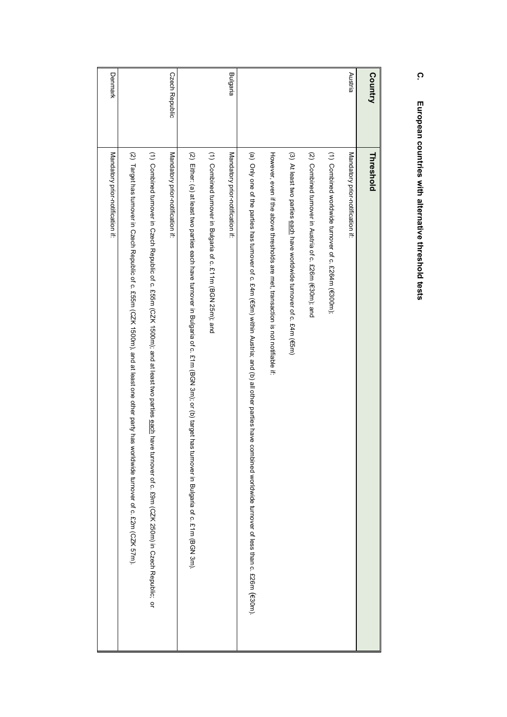### Bulgaria Austria **Country** Czech Republic Denmark Denmark Czech Republic Mandatory prior-notification if: (1) Combined turnover in Czech Republic of c. £55m (CZK 1500m), and at least two parties <u>each</u> have turnover of c. £9m (CZK 250m) in Czech Republic; or Mandatory prior-notification if: (1) Combined turnover in Bulgaria of c. £11m (BGN 25m); and Mandatory prior-notification if: However, even if the above thresholds are met, transaction is not notifiable if. (2) Target has turnover in Czech Republic of c. £55m (CZK 1500m), and at least one other party has worldwide tumover of c. £2m (CZK 57m) (2) Either. (a) at least two parties each have turnover in Bulgaria of c. £1m (BGN 3m); or (b) target has turnover in Bulgaria of c. £1m (BGN 3m) (2) Combined turnover in Austria of c. £26m (€30m); and Mandatory prior-notification if: **Threshold** Mandatory prior-notification if:(2) Target has turnover in Czech Republic (1) Combined turnover in Czech Republic of c. £55m (CZK 1500m); and at least two Mandatory prior-notification if: (2) Either: (a) at least two parties each have turnover in Bulgaria (1) Combined turnover in Bulgaria of c. £11m (BGN 25m); and Mandatory prior-notification if: ( However, even if the above thresholds are met, transaction is not notifiable if: (3) At least two parties each (2) Combined turnover in Austria of c. £26m ((1) Mandatory prior-notification if: **Threshold** a) Only one of the parties has turnover of c. £4m (Combined worldwide turnover of c. £264m (have worldwide turnover of c. £25m (CZZ 1500m), and at least one other party has worldwide turnover of c. £2m (CZZ 57m). 30m); and €300m); ጠ 5m) within Austria; and of c. £4m (€5m) of c. £1m (BGN 3m); or (b) target has  $\widehat{\Xi}$ all other parties have combined worldwide turnover of less than c. £26m parties each have turnover of c. £9m (CZK 250m) in Czech Republic; turnover in Bulgaria of c. £1m (BGN 3m). (!30m).

### **C.** European countries with alternative threshold tests **European countries with alternative threshold tests**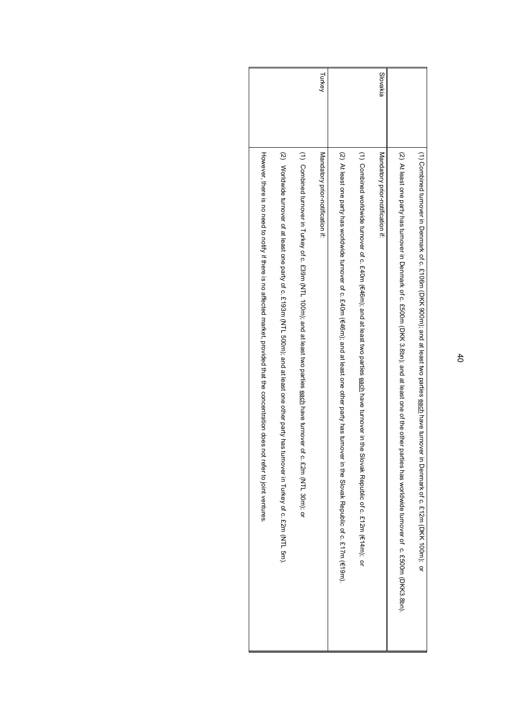| (2) Worldwide turnever of at least one of a face of the barry based one of the party has turnever of $c \cdot c$ 193m (NTL 500m), and at least one barry has turnever of a fight of $c \cdot c$ 193m (NTL 500m), and at least one barry | (1) Combined turnover in Turkey of c. 5:39m (NTL 100m); and at least two parties each have turnover | Turkey<br>Mandatory prior-notification if: | (2) A Least on the second of c. 2.1711 (Eqs) (2-9) (6-9) (6-9) (6-9) (6-9) (6-9) is a day thang the only last of parability and the SQ-1 (2) (2) and the U. 2.1711 (Eqs). | (1) Ocupique do injight Astarbook Report on the data of the seal plane of the seal plane is the subset of the sealing of the sealing of $\sigma$ to the sealing of the sealing on the sealing on the sealing on the sealing on the | Slovakia<br>Mandatory prior-notification if: | (2) At least one party has trimover in Denmark of 0: ft, 000m (DKK 3, 8bn); and at least one off the other | (1) Oombined trimover in Demast Of 2. ft 106m (DKK 900m); and at feast two parties legal pave turnover in Demast Demast Of 2. ft 12m (DKK 100m); or |
|-----------------------------------------------------------------------------------------------------------------------------------------------------------------------------------------------------------------------------------------|-----------------------------------------------------------------------------------------------------|--------------------------------------------|---------------------------------------------------------------------------------------------------------------------------------------------------------------------------|------------------------------------------------------------------------------------------------------------------------------------------------------------------------------------------------------------------------------------|----------------------------------------------|------------------------------------------------------------------------------------------------------------|-----------------------------------------------------------------------------------------------------------------------------------------------------|
|                                                                                                                                                                                                                                         | of c. £2m (NTL 30m); or                                                                             |                                            |                                                                                                                                                                           |                                                                                                                                                                                                                                    |                                              | parties has worldwide turnover of c. fb00m (DKK3.8pr).                                                     |                                                                                                                                                     |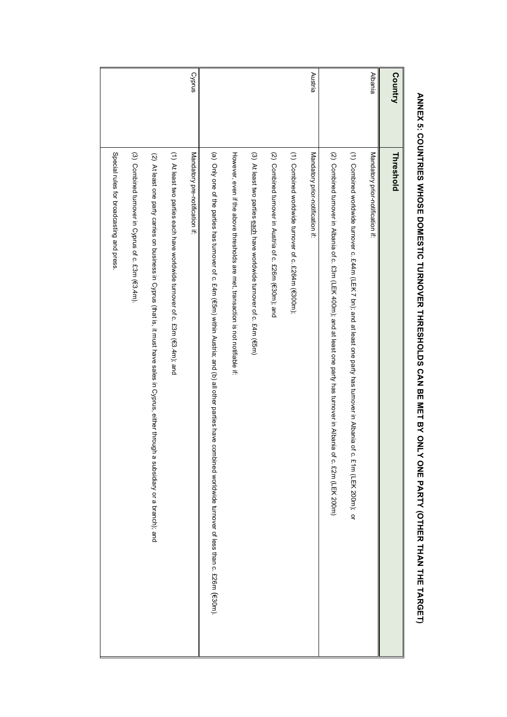| Country        | Threshold                                                                                                                                                                                                                      |
|----------------|--------------------------------------------------------------------------------------------------------------------------------------------------------------------------------------------------------------------------------|
| <b>Albania</b> | Mandatory prior-notification if:                                                                                                                                                                                               |
|                | (1) Compiued wordwide to that is a data form of the state of the state of the state of the state of the state of the state of the state of the state of the state of the state of the state of the state of the state of the s |
|                | (2) Compinent throwth in Alpha of c. 8.3 (1) THZ 4 41 (100H), is nd at least one particle of c. 8.3 (1) Octorial throwth in Alpha is<br>of c. £2m (LEK 200m)                                                                   |
| Austria        | Mandatory prior-notification if:                                                                                                                                                                                               |
|                | (1) Combined worldwide turnover of c. £264m (€300m);                                                                                                                                                                           |
|                | (2) Combined turnover in Austria of c. £26m (€30m); and                                                                                                                                                                        |
|                | (3) At least two parties each have worldwide turnover of c. £4m (€5m)                                                                                                                                                          |
|                | However, even if the above thresholds are met, transaction is not notifiable if.                                                                                                                                               |
|                | (a) Only one of the parties has tumover of c. £4m (€5m) within Austria; and (b) all other parties have combined worldwide turnover of less than c. £26m (€30m).                                                                |
| Cyprus         | Mandatory pre-notification if.                                                                                                                                                                                                 |
|                | (1) At least two parties each have worldwide turnover of c. £3m (€3.4m); and                                                                                                                                                   |
|                | (2) At least one party carries on business in Cyprus (that is, it must have sales in Cyprus, either throug<br>h a subsidiary or a branch); and                                                                                 |
|                | (3) Combined turnover in Cyprus of c. £3m (€3.4m).                                                                                                                                                                             |
|                | Special rules for broadcasting and press                                                                                                                                                                                       |
|                |                                                                                                                                                                                                                                |

# ANNEX 5: COUNTRIES WHOSE DOMESTIC TURNOVER THRESHOLDS CAN BE MET BY ONLY ONE MET BY ONLY OTHER THAN THE TARGET) **ANNEX 5: COUNTRIES WHOSE DOMESTIC TURNOVER THRESHOLDS CAN BE MET BY ONLY ONE PARTY (OTHER THAN THE TARGET)**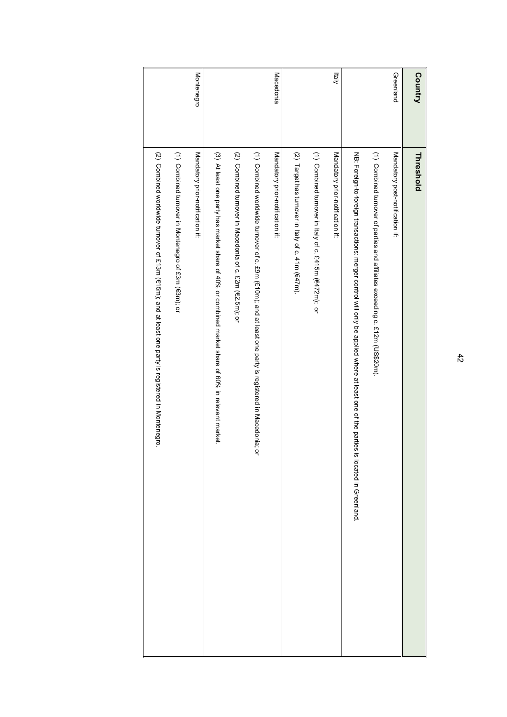| <b>Country</b> | Threshold                                                                                                                                       |
|----------------|-------------------------------------------------------------------------------------------------------------------------------------------------|
| Greenland      | Mandatory post-notification if.                                                                                                                 |
|                | (1) Combined turnover of parties and affiliates exceeding c. £12m (US\$20m).                                                                    |
|                | NB: Foreign-to-foreign transactions: merger control where at least one of the pariled where at least one of the parties is located in Greenland |
| kialy          | Mandatory prior-notification if:                                                                                                                |
|                | (1) Combined turnover in Italy of c. £415m ( $\epsilon$ 472m); or                                                                               |
|                | $(2)$ Target has turnover in Italy of c. 41m ( $\epsilon$ 47m).                                                                                 |
| Macedonia      | Mandatory prior-notification if:                                                                                                                |
|                | (1) Combined worldwide turnover of c. £9m (€10m); and at least one party is registered in Macedonia;<br>q                                       |
|                | (2) Conhined turnover in Macedonia of c. £2m (€2.5m); or                                                                                        |
|                | (3) At least one party has market share of 40% or combined market share of 60% in relevant market.                                              |
| Montenegro     | Mandatory prior-notification if:                                                                                                                |
|                | (1) Combined turnover in Montenegro of £3m (€3m); or                                                                                            |
|                | (2) Ountimed worldwinde to the construct of the construct of the construction of the constance in Mondenian Co                                  |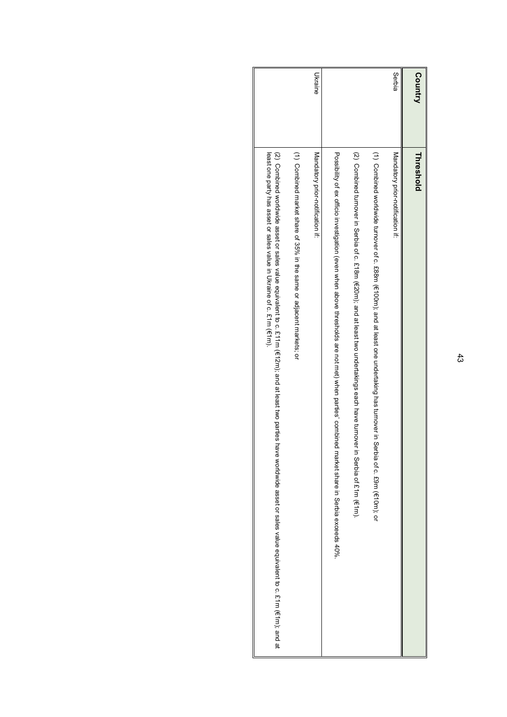| Ukraine                          |                                                                                                                                                                                                                                                                                                                                                                                                                                                                                | Serbia                           | Country   |
|----------------------------------|--------------------------------------------------------------------------------------------------------------------------------------------------------------------------------------------------------------------------------------------------------------------------------------------------------------------------------------------------------------------------------------------------------------------------------------------------------------------------------|----------------------------------|-----------|
| Mandatory prior-notification if: |                                                                                                                                                                                                                                                                                                                                                                                                                                                                                | Mandatory prior-notification if: | Threshold |
|                                  | (1) Connivide worldwide trimover of a 1989 II (4001); and at least opercriptation and the set of the series of the series of c. to COI (1) (1) Connivide trimover of a cash of $\epsilon$<br>Possibility of ex officio investigation (even when above thresholds are not met) when parties, combined<br>(2) Compined turnover in Serbia of cash (SZOF), shat a bast heast two undertakings each have turnover<br>in Serbia of £1m (€1m).<br>market share in Serbia exceeds 40% |                                  |           |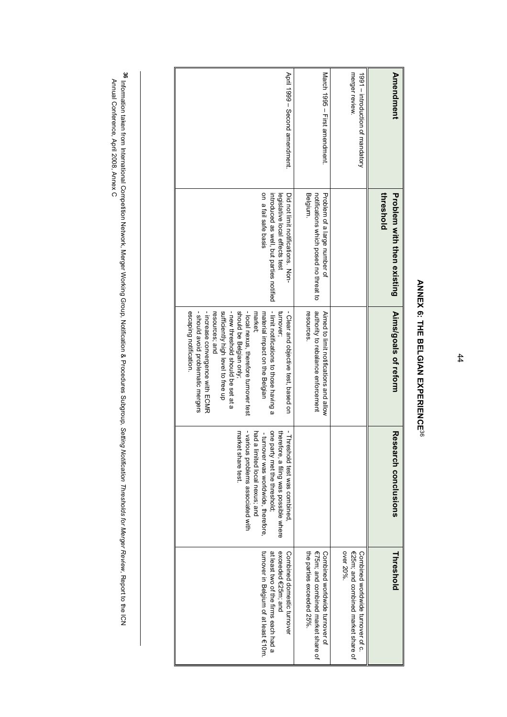| <b>Amendment</b>                                   | threshold<br><b>Problem with then existing</b>                         | Aims/goals of reform                                                         | Research conclusions                                                        | Threshold                                                               |
|----------------------------------------------------|------------------------------------------------------------------------|------------------------------------------------------------------------------|-----------------------------------------------------------------------------|-------------------------------------------------------------------------|
|                                                    |                                                                        |                                                                              |                                                                             |                                                                         |
| merger review.<br>1991 - introduction of mandatory |                                                                        |                                                                              |                                                                             | €25m; and combined market share of<br>Combined worldwide turnover of c. |
|                                                    |                                                                        |                                                                              |                                                                             | over 20%                                                                |
| March 1995 - First amendment.                      | Problem of a large number of<br>notifications which posed no threat to | authority to rebalance enforcement<br>Ained to limit notifications and allow |                                                                             | €75m; and combined market share of<br>Combined worldwide turnover of    |
|                                                    | Belgium.                                                               | resources                                                                    |                                                                             | the parties exceeded 25%.                                               |
| April 1999 - Second amendment.                     | Did not limit notifications. Non-<br>legislative local effects test    | - Clear and objective test, based on<br>turnover                             | - Threshold test was combined<br>theret<br>ore, a filing was possible where | exceeded €25m; and<br>Combined domestic turnover                        |
|                                                    | introduced as well, but parties notified                               | - limit notifications to those having a                                      | one party met the threshold;                                                | at least two of the firms each had a                                    |
|                                                    | on a fail safe basis                                                   | market;<br>material impact on the Belgian                                    | had a limited local nexus; and<br>- turnover was worldwide, therefore,      | tumover in Belgium of at least €10m.                                    |
|                                                    |                                                                        | - local nexus, therefore turnover                                            | - vario<br>us problems associated with                                      |                                                                         |
|                                                    |                                                                        | should be Belgian only;<br>- new threshold should be set at a                | marke<br>t share test                                                       |                                                                         |
|                                                    |                                                                        | sufficiently high level to free up                                           |                                                                             |                                                                         |
|                                                    |                                                                        | resources; and                                                               |                                                                             |                                                                         |
|                                                    |                                                                        | - increase convergence with ECMR                                             |                                                                             |                                                                         |
|                                                    |                                                                        | - should avoid problematic mergers<br>escaping notification.                 |                                                                             |                                                                         |
|                                                    |                                                                        |                                                                              |                                                                             |                                                                         |

## **ANNEX 6: THE BELGIAN EXPERIENCE**ANNEX 6: THE BELGIAN EXPERIENCE<sup>36</sup>

<sup>36</sup> Information taken from International Competition Network, Merger Working Group, Notification, Setting Mo*tification Thresholds for Merger Review,* Report to the ICN<br>Annual Conference, April 2008, Annex C Information taken from International Competition Network, Merger Working Group, Notification & Procedures Subgroup, *Setting Notification Thresholds for Merger Review*, Report to the ICN Annual Conference, April 2008, Annex C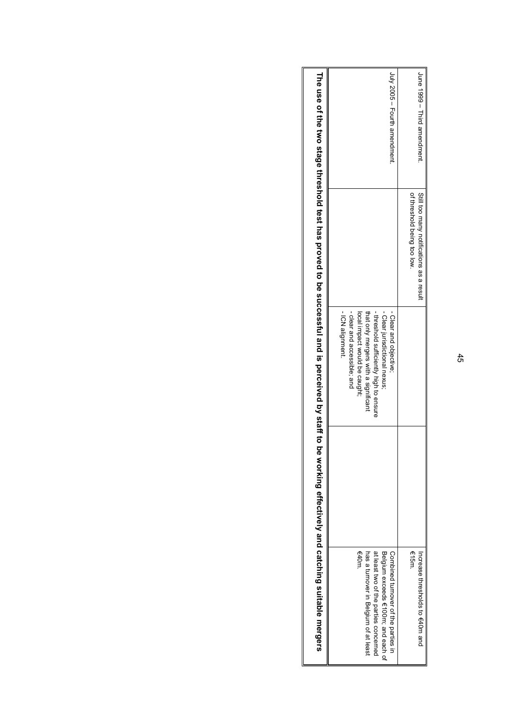| be working effectively and catching suitable mergers                                                                                                                 | The rise of the two stage threshold to be storess in a position is a perceive through $\alpha$ and $\alpha$ is a stage through                                                                                                |                                                                        |                              |
|----------------------------------------------------------------------------------------------------------------------------------------------------------------------|-------------------------------------------------------------------------------------------------------------------------------------------------------------------------------------------------------------------------------|------------------------------------------------------------------------|------------------------------|
| €40m<br>at least two of the parties concerned<br>Belgium exceeds f(100m; and each of<br>Compined transfer of the parties in<br>has a turnover in Belgium of at least | - ICN alignment.<br>-threshold sufficiently high to ensure<br>- Clear jurisdictional nexus;<br>- clear and accessible; and<br>that only mergers with a significant<br>- Clear and objective;<br>local impact would be caught; |                                                                        | July 2005 - Fourth amendment |
| €15m<br>Incease thresholds to $640m$ and                                                                                                                             |                                                                                                                                                                                                                               | of threshold being too low<br>Still too many notifications as a result | June 1999 – Third amendment  |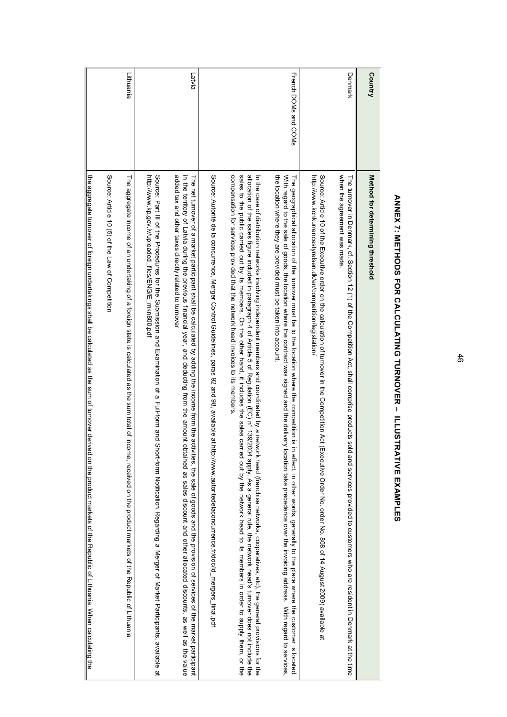| Country              | Method for determining threshold                                                                                                                                                                                                                                                                                                                                                                                                                                                                                                                                                                                                                                                                                                                |
|----------------------|-------------------------------------------------------------------------------------------------------------------------------------------------------------------------------------------------------------------------------------------------------------------------------------------------------------------------------------------------------------------------------------------------------------------------------------------------------------------------------------------------------------------------------------------------------------------------------------------------------------------------------------------------------------------------------------------------------------------------------------------------|
| Denmark              | when the agreement was made.<br>The summark, cf. Section 12 (1) 5 detail completion Act, shall complished outlines of<br>and services provided to customers who are resident in Denmark at the time                                                                                                                                                                                                                                                                                                                                                                                                                                                                                                                                             |
|                      | Source: Article 10 of the Fxecutive order on the calculation of turnover in the Competition Act (Fxecutive Order No. order No. 808 of 14 August 2009) available at<br>http://www.konkurrencestyrelsen.dk/en/competition/legislation/                                                                                                                                                                                                                                                                                                                                                                                                                                                                                                            |
| French DOMs and COMs | the location where they are provided must be taken into account.<br>With regard to the sale of goods, the reader over the statement was signed and the deliver and the deliver of the secondance was inversion to the the definition of the secondance of $\sim$ 10 km s and the secondance was sign<br>The geodraphical allecation of the terms of the focation where the connection is in<br>effect, in other words, generally to the place where the customer is located                                                                                                                                                                                                                                                                     |
|                      | seless to the poligio carribed its members in the other hand, it includes the seless carriers of the warge carriers of the ward of the other hand, it including, it includes to the other hand of the ware to the order to sel<br>allocation of the sales figure included in paragraphe in paragraphy 4 of Article 5 of Regulation, As a general rule, the network head's turnover does not the deptination of the space of Regulation of Article 5 of Regulatio<br>compensation to services and involvided that the advices to its members to the services to<br>In the case of distribution networks involving independent mennbers and coordinated by a network head (franchise networks, cooperatives, etc), the general provisions for the |
|                      | Source: Autorité de la concurrence, Merger Control Guidelines, paras 92 and 98, available at http://www.autoritedelaconcurrence.fr/doc/ld_mergers_final.pdf                                                                                                                                                                                                                                                                                                                                                                                                                                                                                                                                                                                     |
| Latvia               | added tax and other taxes directly related to turnover<br>in the territory of Latvia during the previous financial year, and deducting from the amount obtained as sales discount and other allocated discounts, as well as the value<br>The net turnover of a market participant shall be calculated by adding the income from the activities, the sale of goods and the provision of services of the market participant                                                                                                                                                                                                                                                                                                                       |
|                      | Source: Part III of the Subedures for the Suberialistication is a Full-form and Short-form and Short-form and Short form and Short is a light of a lable of Market Participation a Merger of Market Participation and Example<br>http://www.kp.gov.lv/uploaded_files/ENG/E_mkn800.pdf                                                                                                                                                                                                                                                                                                                                                                                                                                                           |
| Lithuania            | The aggregate income of an undertaking of a foreign state is calculated as the sum total of incon<br>ne, received on the product markets of the Republic of Lithuania                                                                                                                                                                                                                                                                                                                                                                                                                                                                                                                                                                           |
|                      | Source: Article 10 (5) of the Law of Competition                                                                                                                                                                                                                                                                                                                                                                                                                                                                                                                                                                                                                                                                                                |
|                      | the aggregate involution in the state of the parameter species of the state of the state funded as the and the codoc derived on the radio derived on the coduct and the coduct and the coduct of the coduct of the coduct of t                                                                                                                                                                                                                                                                                                                                                                                                                                                                                                                  |

# ANNEX 7: METHODS FOR CALCULATING TURNOVER - ILLUSTRATIVE EXAMPLES **ANNEX 7: METHODS FOR CALCULATING TURNOVER – ILLUSTRATIVE EXAMPLES**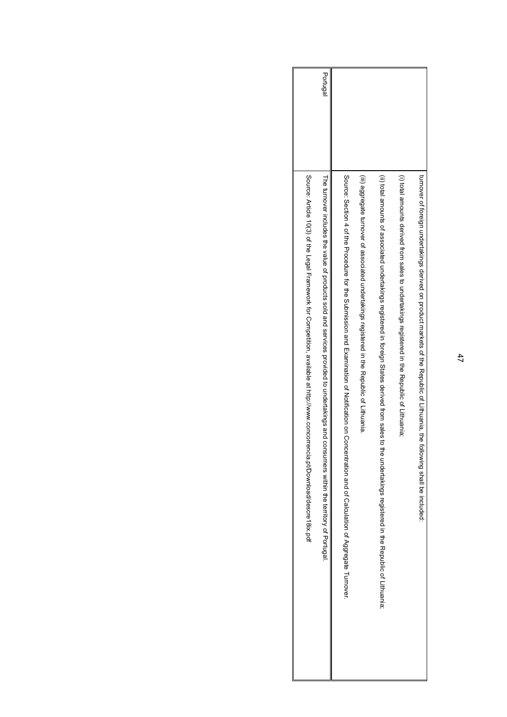| Source: Aricle 10/30 of the Leagl Pation product for Competition, available at http://www.concorrencia.pd/pownships/indial-                              |          |
|----------------------------------------------------------------------------------------------------------------------------------------------------------|----------|
| The terricover included to product social and services provided to undertakings and consumers whim the familover profugale.                              | Portugal |
| Source: Obstrain a diffusion and Distribution and Hemation of Zottication on Concentration and D. Calculation of Aggregate Turnover.                     |          |
| (iii) aggregate turnover of associational updatakings registered in the discussion of Lithuania.                                                         |          |
| (ii) total announce of associated undertarkened in the distribution of the same areas dension States disteratings registerings registered in the luminon |          |
| (i) total amochts derived from sales to undertakings registered in the Republic of Lithuanis.                                                            |          |
| turnover of toreign undertakings derived on product markets of the Republic of Lithuania, the<br>following shall be included:                            |          |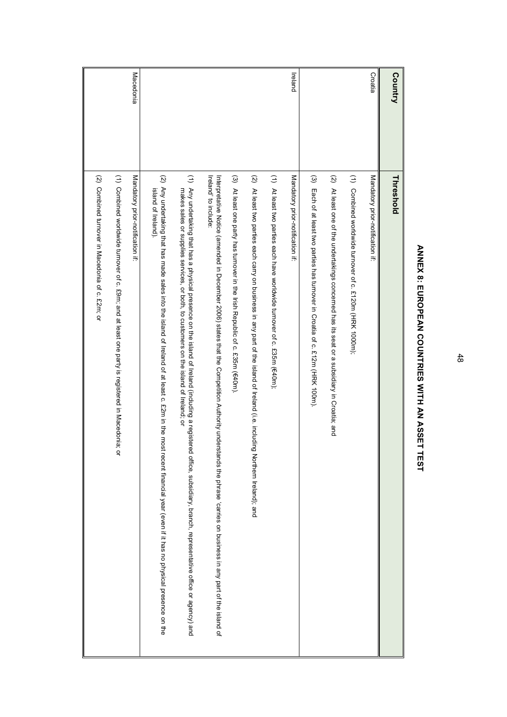| Country   | Threshold                                                                                                                                                                                                                                             |
|-----------|-------------------------------------------------------------------------------------------------------------------------------------------------------------------------------------------------------------------------------------------------------|
| Croatia   | Mandatory prior-notification if.                                                                                                                                                                                                                      |
|           | $\widehat{z}$<br>Combined worldwide turnover of c. £120m (HRK 1000m);                                                                                                                                                                                 |
|           | $\widetilde{\mathcal{O}}$<br>At least one of the undertakings concerned has its seat or a subsidiary in Croatia; and                                                                                                                                  |
|           | $\widehat{\omega}$<br>Each of at least two parties has turnover in Croatia of c. £12m (HRK 100m)                                                                                                                                                      |
| Ireland   | Mandatory prior-notification if.                                                                                                                                                                                                                      |
|           | $\widehat{z}$<br>At least two parties each have worldwide turnover of c. £35m (€40m);                                                                                                                                                                 |
|           | $\widehat{\mathcal{Q}}$<br>At least two parties each carry on business in any part of the island of Ireland (i.e. including Northern Ireland); and                                                                                                    |
|           | $\widehat{\omega}$<br>At least one party has turnover in the Irish Republic of c. £35m (€40m).                                                                                                                                                        |
|           | Ireland' to include:<br>http://barabion.complesion.com/carget carriers.com/information princitity inderstands that the Densities that the pression pricially completed in Pario diagram on Densities and the state of the islease can be completed in |
|           | (1) Any undertaking that has a physical presence on the island of Ireland (including a registered office, subsidiany, branch, representative of agency) and<br>makes sales or supplies services, or both, to customers on the island of Ireland; or   |
|           | (2) Any undertaking that has made sales into the island of lreland of at least c. £2m in the most recent financial year (even if it has no physical presence on the<br>island of Ireland).                                                            |
| Macedonia | Mandatory prior-notification if.                                                                                                                                                                                                                      |
|           | (1) Combined worldwide turnover of c. £9m; and at least one party is registered in Macedonia;<br>q                                                                                                                                                    |
|           | (2) Combined tumover in Macedonia of c. £2m; or                                                                                                                                                                                                       |

# ANNEX 8: EUROPEAN COUNTRIES WITH AN ASSET TEST **ANNEX 8: EUROPEAN COUNTRIES WITH AN ASSET TEST**